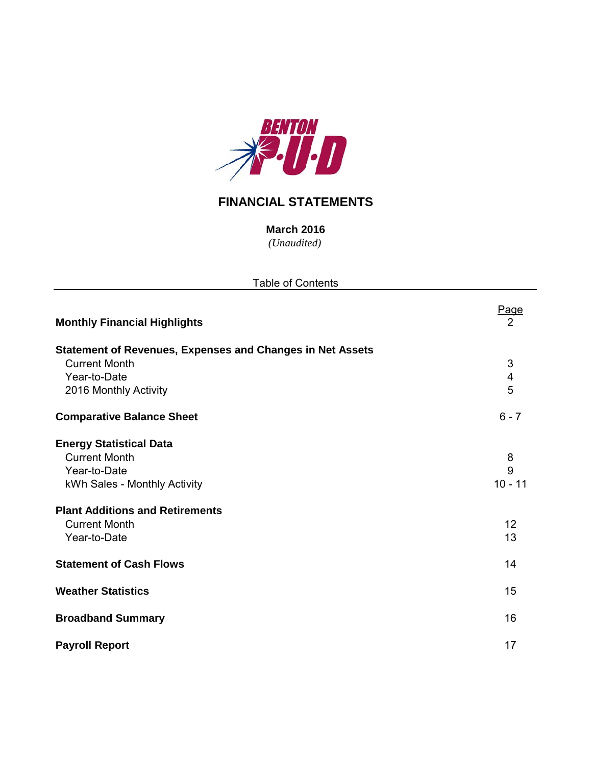

# **FINANCIAL STATEMENTS**

*(Unaudited)* **March 2016**

| <b>Table of Contents</b>                                         |                   |  |  |  |  |  |  |
|------------------------------------------------------------------|-------------------|--|--|--|--|--|--|
| <b>Monthly Financial Highlights</b>                              | Page<br>2         |  |  |  |  |  |  |
| <b>Statement of Revenues, Expenses and Changes in Net Assets</b> |                   |  |  |  |  |  |  |
| <b>Current Month</b>                                             | 3                 |  |  |  |  |  |  |
| Year-to-Date                                                     | 4                 |  |  |  |  |  |  |
| 2016 Monthly Activity                                            | 5                 |  |  |  |  |  |  |
| <b>Comparative Balance Sheet</b>                                 | $6 - 7$           |  |  |  |  |  |  |
| <b>Energy Statistical Data</b>                                   |                   |  |  |  |  |  |  |
| <b>Current Month</b>                                             | 8                 |  |  |  |  |  |  |
| Year-to-Date                                                     | $\overline{9}$    |  |  |  |  |  |  |
| kWh Sales - Monthly Activity                                     | $10 - 11$         |  |  |  |  |  |  |
| <b>Plant Additions and Retirements</b>                           |                   |  |  |  |  |  |  |
| <b>Current Month</b>                                             | $12 \overline{ }$ |  |  |  |  |  |  |
| Year-to-Date                                                     | 13                |  |  |  |  |  |  |
| <b>Statement of Cash Flows</b>                                   | 14                |  |  |  |  |  |  |
| <b>Weather Statistics</b>                                        | 15                |  |  |  |  |  |  |
| <b>Broadband Summary</b>                                         | 16                |  |  |  |  |  |  |
| <b>Payroll Report</b>                                            | 17                |  |  |  |  |  |  |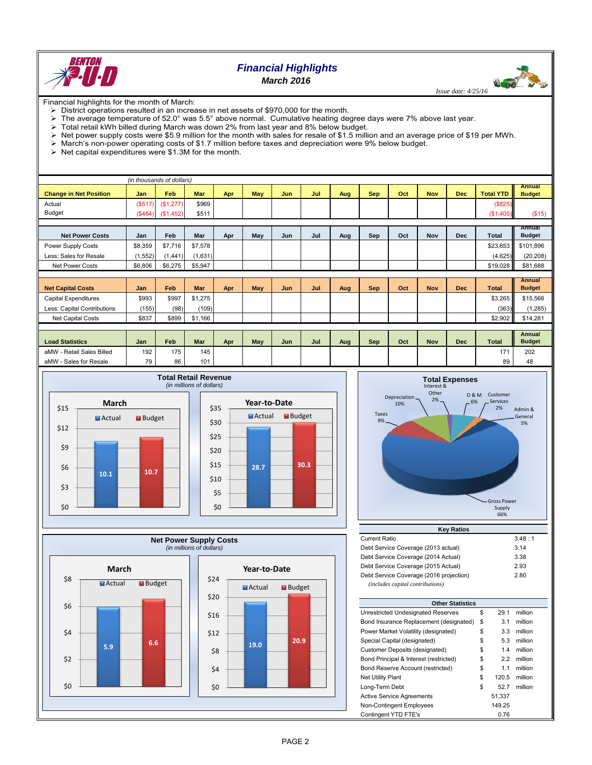

# *Financial Highlights*

*March 2016*

**UGO ST**  *Issue date: 4/25/16*

Financial highlights for the month of March:

- District operations resulted in an increase in net assets of \$970,000 for the month.
- The average temperature of 52.0° was 5.5° above normal. Cumulative heating degree days were 7% above last year.<br>> Total retail kWh billed during March was down 2% from last year and 8% below budget
- Total retail kWh billed during March was down 2% from last year and 8% below budget.
- $\triangleright$  Net power supply costs were \$5.9 million for the month with sales for resale of \$1.5 million and an average price of \$19 per MWh.
- March's non-power operating costs of \$1.7 million before taxes and depreciation were 9% below budget.
- $\triangleright$  Net capital expenditures were \$1.3M for the month.

| (in thousands of dollars)     |            |           |            |     |            |     |     |     |            |     |            |            |                  |                                |
|-------------------------------|------------|-----------|------------|-----|------------|-----|-----|-----|------------|-----|------------|------------|------------------|--------------------------------|
| <b>Change in Net Position</b> | <b>Jan</b> | Feb       | <b>Mar</b> | Apr | <b>May</b> | Jun | Jul | Aug | <b>Sep</b> | Oct | <b>Nov</b> | <b>Dec</b> | <b>Total YTD</b> | <b>Annual</b><br><b>Budget</b> |
| Actual                        | (S517)     | (\$1,277) | \$969      |     |            |     |     |     |            |     |            |            | (\$825)          |                                |
| <b>Budget</b>                 | $(\$464)$  | (\$1,452) | \$511      |     |            |     |     |     |            |     |            |            | (\$1,405)        | (\$15)                         |
|                               |            |           |            |     |            |     |     |     |            |     |            |            |                  |                                |
| <b>Net Power Costs</b>        | Jan        | Feb       | Mar        | Apr | May        | Jun | Jul | Aug | Sep        | Oct | Nov        | <b>Dec</b> | <b>Total</b>     | Annual<br><b>Budget</b>        |
| Power Supply Costs            | \$8,359    | \$7,716   | \$7,578    |     |            |     |     |     |            |     |            |            | \$23,653         | \$101,896                      |
| Less: Sales for Resale        | (1, 552)   | (1,441)   | (1,631)    |     |            |     |     |     |            |     |            |            | (4,625)          | (20, 208)                      |
| Net Power Costs               | \$6,806    | \$6,275   | \$5,947    |     |            |     |     |     |            |     |            |            | \$19,028         | \$81,688                       |
|                               |            |           |            |     |            |     |     |     |            |     |            |            |                  |                                |
| <b>Net Capital Costs</b>      | Jan        | Feb       | <b>Mar</b> | Apr | <b>May</b> | Jun | Jul | Aug | <b>Sep</b> | Oct | <b>Nov</b> | <b>Dec</b> | <b>Total</b>     | <b>Annual</b><br><b>Budget</b> |
| <b>Capital Expenditures</b>   | \$993      | \$997     | \$1,275    |     |            |     |     |     |            |     |            |            | \$3,265          | \$15,566                       |
| Less: Capital Contributions   | (155)      | (98)      | (109)      |     |            |     |     |     |            |     |            |            | (363)            | (1,285)                        |
| Net Capital Costs             | \$837      | \$899     | \$1,166    |     |            |     |     |     |            |     |            |            | \$2,902          | \$14,281                       |
|                               |            |           |            |     |            |     |     |     |            |     |            |            |                  |                                |
| <b>Load Statistics</b>        | Jan        | Feb       | Mar        | Apr | May        | Jun | Jul | Aug | <b>Sep</b> | Oct | <b>Nov</b> | <b>Dec</b> | <b>Total</b>     | <b>Annual</b><br><b>Budget</b> |
| aMW - Retail Sales Billed     | 192        | 175       | 145        |     |            |     |     |     |            |     |            |            | 171              | 202                            |
| aMW - Sales for Resale        | 79         | 86        | 101        |     |            |     |     |     |            |     |            |            | 89               | 48                             |









| <b>Current Ratio</b>                    | 3.48:1 |
|-----------------------------------------|--------|
| Debt Service Coverage (2013 actual)     | 3.14   |
| Debt Service Coverage (2014 Actual)     | 3.38   |
| Debt Service Coverage (2015 Actual)     | 2.93   |
| Debt Service Coverage (2016 projection) | 2.80   |
| (includes capital contributions)        |        |

| <b>Other Statistics</b>                 |    |        |         |  |  |  |  |  |  |  |
|-----------------------------------------|----|--------|---------|--|--|--|--|--|--|--|
| Unrestricted Undesignated Reserves      | \$ | 29.1   | million |  |  |  |  |  |  |  |
| Bond Insurance Replacement (designated) | \$ | 3.1    | million |  |  |  |  |  |  |  |
| Power Market Volatility (designated)    | \$ | 3.3    | million |  |  |  |  |  |  |  |
| Special Capital (designated)            | \$ | 5.3    | million |  |  |  |  |  |  |  |
| Customer Deposits (designated)          | \$ | 1.4    | million |  |  |  |  |  |  |  |
| Bond Principal & Interest (restricted)  | \$ | 2.2    | million |  |  |  |  |  |  |  |
| Bond Reserve Account (restricted)       | \$ | 1.1    | million |  |  |  |  |  |  |  |
| <b>Net Utility Plant</b>                | \$ | 120.5  | million |  |  |  |  |  |  |  |
| Long-Term Debt                          | \$ | 52.7   | million |  |  |  |  |  |  |  |
| <b>Active Service Agreements</b>        |    | 51.337 |         |  |  |  |  |  |  |  |
| Non-Contingent Employees                |    | 149.25 |         |  |  |  |  |  |  |  |
| Contingent YTD FTE's                    |    | 0.76   |         |  |  |  |  |  |  |  |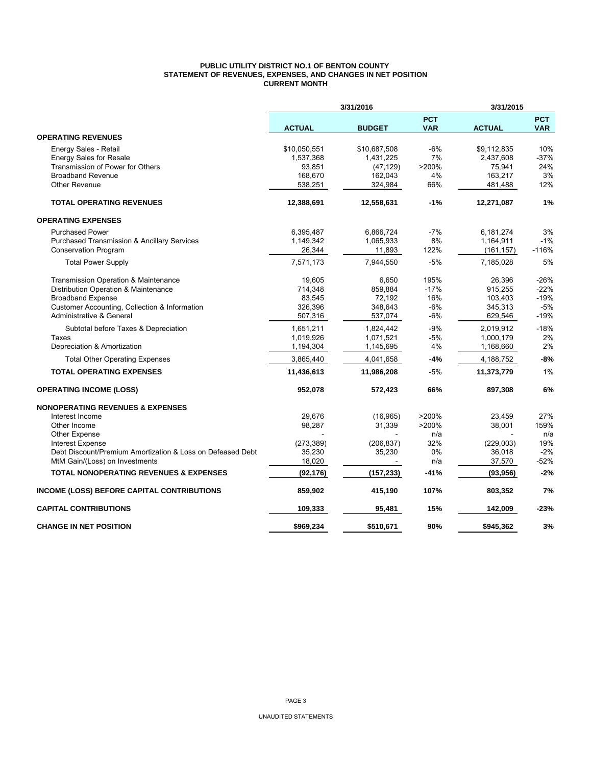### **PUBLIC UTILITY DISTRICT NO.1 OF BENTON COUNTY STATEMENT OF REVENUES, EXPENSES, AND CHANGES IN NET POSITION CURRENT MONTH**

|                                                            | 3/31/2016     |               | 3/31/2015                |               |                          |
|------------------------------------------------------------|---------------|---------------|--------------------------|---------------|--------------------------|
|                                                            | <b>ACTUAL</b> | <b>BUDGET</b> | <b>PCT</b><br><b>VAR</b> | <b>ACTUAL</b> | <b>PCT</b><br><b>VAR</b> |
| <b>OPERATING REVENUES</b>                                  |               |               |                          |               |                          |
| Energy Sales - Retail                                      | \$10,050,551  | \$10,687,508  | -6%                      | \$9,112,835   | 10%                      |
| <b>Energy Sales for Resale</b>                             | 1,537,368     | 1,431,225     | 7%                       | 2,437,608     | $-37%$                   |
| Transmission of Power for Others                           | 93,851        | (47, 129)     | >200%                    | 75,941        | 24%                      |
| <b>Broadband Revenue</b>                                   | 168,670       | 162,043       | 4%                       | 163,217       | 3%                       |
| <b>Other Revenue</b>                                       | 538,251       | 324,984       | 66%                      | 481,488       | 12%                      |
| <b>TOTAL OPERATING REVENUES</b>                            | 12,388,691    | 12,558,631    | $-1%$                    | 12,271,087    | 1%                       |
| <b>OPERATING EXPENSES</b>                                  |               |               |                          |               |                          |
| <b>Purchased Power</b>                                     | 6,395,487     | 6,866,724     | $-7%$                    | 6,181,274     | 3%                       |
| <b>Purchased Transmission &amp; Ancillary Services</b>     | 1,149,342     | 1,065,933     | 8%                       | 1,164,911     | $-1%$                    |
| <b>Conservation Program</b>                                | 26,344        | 11,893        | 122%                     | (161, 157)    | $-116%$                  |
| <b>Total Power Supply</b>                                  | 7,571,173     | 7,944,550     | $-5%$                    | 7.185.028     | 5%                       |
| Transmission Operation & Maintenance                       | 19,605        | 6,650         | 195%                     | 26,396        | -26%                     |
| Distribution Operation & Maintenance                       | 714,348       | 859,884       | $-17%$                   | 915,255       | $-22%$                   |
| <b>Broadband Expense</b>                                   | 83,545        | 72,192        | 16%                      | 103,403       | $-19%$                   |
| Customer Accounting, Collection & Information              | 326,396       | 348,643       | $-6%$                    | 345,313       | $-5%$                    |
| Administrative & General                                   | 507,316       | 537,074       | $-6%$                    | 629,546       | $-19%$                   |
| Subtotal before Taxes & Depreciation                       | 1,651,211     | 1,824,442     | $-9%$                    | 2,019,912     | $-18%$                   |
| Taxes                                                      | 1,019,926     | 1,071,521     | -5%                      | 1,000,179     | 2%                       |
| Depreciation & Amortization                                | 1,194,304     | 1,145,695     | 4%                       | 1,168,660     | 2%                       |
| <b>Total Other Operating Expenses</b>                      | 3,865,440     | 4,041,658     | $-4%$                    | 4,188,752     | $-8%$                    |
| <b>TOTAL OPERATING EXPENSES</b>                            | 11,436,613    | 11,986,208    | $-5%$                    | 11,373,779    | 1%                       |
| <b>OPERATING INCOME (LOSS)</b>                             | 952,078       | 572,423       | 66%                      | 897,308       | 6%                       |
| <b>NONOPERATING REVENUES &amp; EXPENSES</b>                |               |               |                          |               |                          |
| Interest Income                                            | 29,676        | (16, 965)     | >200%                    | 23,459        | 27%                      |
| Other Income                                               | 98,287        | 31,339        | >200%                    | 38,001        | 159%                     |
| <b>Other Expense</b>                                       |               |               | n/a                      |               | n/a                      |
| <b>Interest Expense</b>                                    | (273, 389)    | (206, 837)    | 32%                      | (229,003)     | 19%                      |
| Debt Discount/Premium Amortization & Loss on Defeased Debt | 35,230        | 35,230        | 0%                       | 36,018        | $-2%$                    |
| MtM Gain/(Loss) on Investments                             | 18,020        |               | n/a                      | 37,570        | $-52%$                   |
| <b>TOTAL NONOPERATING REVENUES &amp; EXPENSES</b>          | (92, 176)     | (157, 233)    | -41%                     | (93, 956)     | $-2%$                    |
| <b>INCOME (LOSS) BEFORE CAPITAL CONTRIBUTIONS</b>          | 859,902       | 415,190       | 107%                     | 803,352       | 7%                       |
| <b>CAPITAL CONTRIBUTIONS</b>                               | 109,333       | 95,481        | 15%                      | 142,009       | -23%                     |
| <b>CHANGE IN NET POSITION</b>                              | \$969,234     | \$510,671     | 90%                      | \$945,362     | 3%                       |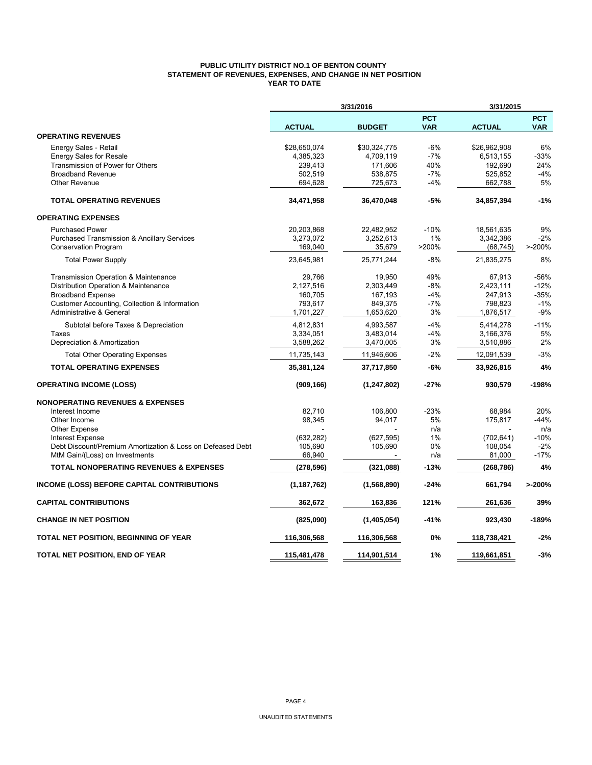### **PUBLIC UTILITY DISTRICT NO.1 OF BENTON COUNTY STATEMENT OF REVENUES, EXPENSES, AND CHANGE IN NET POSITION YEAR TO DATE**

|                                                            |               | 3/31/2016     |                          | 3/31/2015     |                          |
|------------------------------------------------------------|---------------|---------------|--------------------------|---------------|--------------------------|
|                                                            | <b>ACTUAL</b> | <b>BUDGET</b> | <b>PCT</b><br><b>VAR</b> | <b>ACTUAL</b> | <b>PCT</b><br><b>VAR</b> |
| <b>OPERATING REVENUES</b>                                  |               |               |                          |               |                          |
| Energy Sales - Retail                                      | \$28,650,074  | \$30,324,775  | -6%                      | \$26,962,908  | 6%                       |
| <b>Energy Sales for Resale</b>                             | 4,385,323     | 4,709,119     | $-7%$                    | 6,513,155     | -33%                     |
| Transmission of Power for Others                           | 239,413       | 171,606       | 40%                      | 192,690       | 24%                      |
| <b>Broadband Revenue</b>                                   | 502,519       | 538,875       | $-7%$                    | 525,852       | $-4%$                    |
| <b>Other Revenue</b>                                       | 694,628       | 725,673       | -4%                      | 662,788       | 5%                       |
| <b>TOTAL OPERATING REVENUES</b>                            | 34,471,958    | 36,470,048    | $-5%$                    | 34,857,394    | $-1%$                    |
| <b>OPERATING EXPENSES</b>                                  |               |               |                          |               |                          |
| <b>Purchased Power</b>                                     | 20,203,868    | 22,482,952    | $-10%$                   | 18,561,635    | 9%                       |
| <b>Purchased Transmission &amp; Ancillary Services</b>     | 3,273,072     | 3,252,613     | 1%                       | 3,342,386     | $-2%$                    |
| <b>Conservation Program</b>                                | 169,040       | 35,679        | >200%                    | (68, 745)     | $> -200%$                |
| <b>Total Power Supply</b>                                  | 23,645,981    | 25,771,244    | $-8%$                    | 21,835,275    | 8%                       |
| Transmission Operation & Maintenance                       | 29,766        | 19,950        | 49%                      | 67,913        | $-56%$                   |
| Distribution Operation & Maintenance                       | 2,127,516     | 2.303.449     | $-8%$                    | 2,423,111     | $-12%$                   |
| <b>Broadband Expense</b>                                   | 160,705       | 167,193       | -4%                      | 247,913       | $-35%$                   |
| Customer Accounting, Collection & Information              | 793,617       | 849,375       | $-7%$                    | 798,823       | $-1%$                    |
| <b>Administrative &amp; General</b>                        | 1,701,227     | 1,653,620     | 3%                       | 1,876,517     | $-9%$                    |
| Subtotal before Taxes & Depreciation                       | 4,812,831     | 4,993,587     | $-4%$                    | 5,414,278     | $-11%$                   |
| Taxes                                                      | 3,334,051     | 3,483,014     | $-4%$                    | 3,166,376     | 5%                       |
| Depreciation & Amortization                                | 3,588,262     | 3,470,005     | 3%                       | 3,510,886     | 2%                       |
| <b>Total Other Operating Expenses</b>                      | 11,735,143    | 11,946,606    | $-2%$                    | 12,091,539    | $-3%$                    |
| <b>TOTAL OPERATING EXPENSES</b>                            | 35,381,124    | 37,717,850    | -6%                      | 33,926,815    | 4%                       |
| <b>OPERATING INCOME (LOSS)</b>                             | (909, 166)    | (1, 247, 802) | -27%                     | 930,579       | $-198%$                  |
| <b>NONOPERATING REVENUES &amp; EXPENSES</b>                |               |               |                          |               |                          |
| Interest Income                                            | 82.710        | 106.800       | $-23%$                   | 68.984        | 20%                      |
| Other Income                                               | 98,345        | 94,017        | 5%                       | 175,817       | $-44%$                   |
| <b>Other Expense</b>                                       |               |               | n/a                      |               | n/a                      |
| Interest Expense                                           | (632, 282)    | (627, 595)    | 1%                       | (702, 641)    | $-10%$                   |
| Debt Discount/Premium Amortization & Loss on Defeased Debt | 105,690       | 105,690       | 0%                       | 108,054       | $-2%$                    |
| MtM Gain/(Loss) on Investments                             | 66,940        |               | n/a                      | 81,000        | $-17%$                   |
| <b>TOTAL NONOPERATING REVENUES &amp; EXPENSES</b>          | (278, 596)    | (321,088)     | $-13%$                   | (268, 786)    | 4%                       |
| INCOME (LOSS) BEFORE CAPITAL CONTRIBUTIONS                 | (1, 187, 762) | (1,568,890)   | $-24%$                   | 661,794       | >200%                    |
| <b>CAPITAL CONTRIBUTIONS</b>                               | 362,672       | 163,836       | 121%                     | 261,636       | 39%                      |
| <b>CHANGE IN NET POSITION</b>                              | (825,090)     | (1,405,054)   | $-41%$                   | 923,430       | $-189%$                  |
| TOTAL NET POSITION, BEGINNING OF YEAR                      | 116,306,568   | 116,306,568   | 0%                       | 118,738,421   | $-2%$                    |
| TOTAL NET POSITION, END OF YEAR                            | 115,481,478   | 114,901,514   | 1%                       | 119,661,851   | $-3%$                    |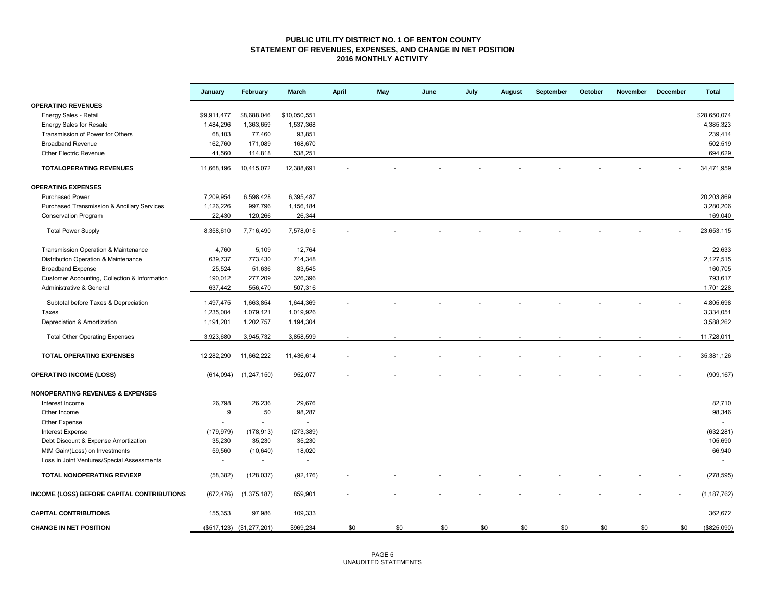### **PUBLIC UTILITY DISTRICT NO. 1 OF BENTON COUNTY STATEMENT OF REVENUES, EXPENSES, AND CHANGE IN NET POSITION 2016 MONTHLY ACTIVITY**

|                                               | January     | February                    | March                  | April | May | June | July | August | September | October | November | December | <b>Total</b>  |
|-----------------------------------------------|-------------|-----------------------------|------------------------|-------|-----|------|------|--------|-----------|---------|----------|----------|---------------|
| <b>OPERATING REVENUES</b>                     |             |                             |                        |       |     |      |      |        |           |         |          |          |               |
| Energy Sales - Retail                         | \$9,911,477 | \$8,688,046                 | \$10,050,551           |       |     |      |      |        |           |         |          |          | \$28,650,074  |
| <b>Energy Sales for Resale</b>                | 1,484,296   | 1,363,659                   | 1,537,368              |       |     |      |      |        |           |         |          |          | 4,385,323     |
| Transmission of Power for Others              | 68,103      | 77,460                      | 93,851                 |       |     |      |      |        |           |         |          |          | 239,414       |
| <b>Broadband Revenue</b>                      | 162,760     | 171,089                     | 168,670                |       |     |      |      |        |           |         |          |          | 502,519       |
| <b>Other Electric Revenue</b>                 | 41,560      | 114,818                     | 538,251                |       |     |      |      |        |           |         |          |          | 694,629       |
| <b>TOTALOPERATING REVENUES</b>                | 11,668,196  | 10,415,072                  | 12,388,691             |       |     |      |      |        |           |         |          |          | 34,471,959    |
| <b>OPERATING EXPENSES</b>                     |             |                             |                        |       |     |      |      |        |           |         |          |          |               |
| <b>Purchased Power</b>                        | 7,209,954   | 6,598,428                   | 6,395,487              |       |     |      |      |        |           |         |          |          | 20,203,869    |
| Purchased Transmission & Ancillary Services   | 1,126,226   | 997,796                     | 1,156,184              |       |     |      |      |        |           |         |          |          | 3,280,206     |
| <b>Conservation Program</b>                   | 22,430      | 120,266                     | 26,344                 |       |     |      |      |        |           |         |          |          | 169,040       |
| <b>Total Power Supply</b>                     | 8,358,610   | 7,716,490                   | 7,578,015              |       |     |      |      |        |           |         |          |          | 23,653,115    |
| Transmission Operation & Maintenance          | 4,760       | 5,109                       | 12,764                 |       |     |      |      |        |           |         |          |          | 22,633        |
| Distribution Operation & Maintenance          | 639,737     | 773,430                     | 714,348                |       |     |      |      |        |           |         |          |          | 2,127,515     |
| <b>Broadband Expense</b>                      | 25,524      | 51,636                      | 83,545                 |       |     |      |      |        |           |         |          |          | 160,705       |
| Customer Accounting, Collection & Information | 190,012     | 277,209                     | 326,396                |       |     |      |      |        |           |         |          |          | 793,617       |
| Administrative & General                      | 637,442     | 556,470                     | 507,316                |       |     |      |      |        |           |         |          |          | 1,701,228     |
|                                               | 1,497,475   |                             |                        |       |     |      |      |        |           |         |          |          | 4,805,698     |
| Subtotal before Taxes & Depreciation<br>Taxes | 1,235,004   | 1,663,854<br>1,079,121      | 1,644,369<br>1,019,926 |       |     |      |      |        |           |         |          |          | 3,334,051     |
| Depreciation & Amortization                   | 1,191,201   | 1,202,757                   | 1,194,304              |       |     |      |      |        |           |         |          |          | 3,588,262     |
|                                               |             |                             |                        |       |     |      |      |        |           |         |          |          |               |
| <b>Total Other Operating Expenses</b>         | 3,923,680   | 3,945,732                   | 3,858,599              |       |     |      |      |        |           |         |          |          | 11,728,011    |
| TOTAL OPERATING EXPENSES                      | 12,282,290  | 11,662,222                  | 11,436,614             |       |     |      |      |        |           |         |          |          | 35,381,126    |
| <b>OPERATING INCOME (LOSS)</b>                | (614, 094)  | (1,247,150)                 | 952,077                |       |     |      |      |        |           |         |          |          | (909, 167)    |
| <b>NONOPERATING REVENUES &amp; EXPENSES</b>   |             |                             |                        |       |     |      |      |        |           |         |          |          |               |
| Interest Income                               | 26,798      | 26,236                      | 29,676                 |       |     |      |      |        |           |         |          |          | 82,710        |
| Other Income                                  | 9           | 50                          | 98,287                 |       |     |      |      |        |           |         |          |          | 98,346        |
| Other Expense                                 |             | $\overline{\phantom{a}}$    | $\omega$               |       |     |      |      |        |           |         |          |          | ÷,            |
| <b>Interest Expense</b>                       | (179, 979)  | (178, 913)                  | (273, 389)             |       |     |      |      |        |           |         |          |          | (632, 281)    |
| Debt Discount & Expense Amortization          | 35,230      | 35,230                      | 35,230                 |       |     |      |      |        |           |         |          |          | 105,690       |
| MtM Gain/(Loss) on Investments                | 59,560      | (10, 640)                   | 18,020                 |       |     |      |      |        |           |         |          |          | 66,940        |
| Loss in Joint Ventures/Special Assessments    | $\sim$      | $\sim$                      | $\sim$                 |       |     |      |      |        |           |         |          |          | $\sim$        |
| TOTAL NONOPERATING REV/EXP                    | (58, 382)   | (128, 037)                  | (92, 176)              |       |     |      |      |        |           |         |          |          | (278, 595)    |
| INCOME (LOSS) BEFORE CAPITAL CONTRIBUTIONS    | (672, 476)  | (1, 375, 187)               | 859,901                |       |     |      |      |        |           |         |          |          | (1, 187, 762) |
| <b>CAPITAL CONTRIBUTIONS</b>                  | 155,353     | 97,986                      | 109,333                |       |     |      |      |        |           |         |          |          | 362,672       |
| <b>CHANGE IN NET POSITION</b>                 |             | $($517,123)$ $($1,277,201)$ | \$969,234              | \$0   | \$0 | \$0  | \$0  | \$0    | \$0       | \$0     | \$0      | \$0      | (\$825,090)   |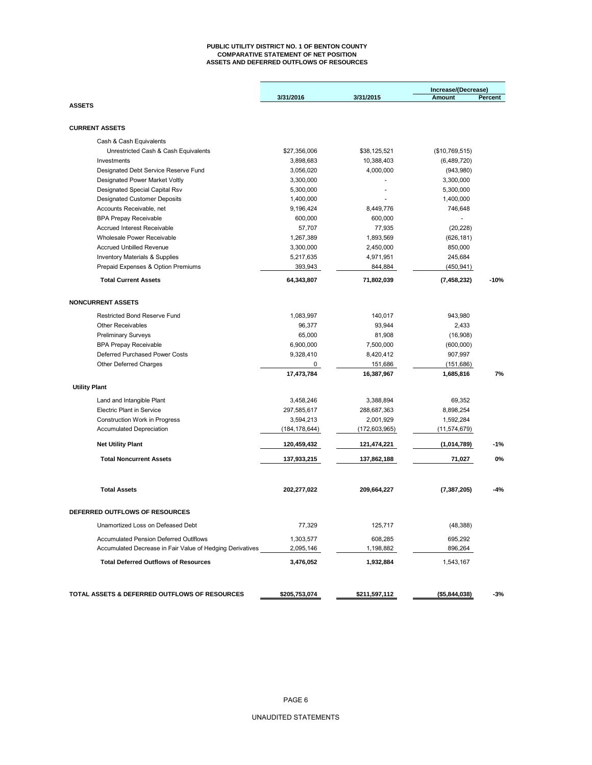#### **PUBLIC UTILITY DISTRICT NO. 1 OF BENTON COUNTY COMPARATIVE STATEMENT OF NET POSITION ASSETS AND DEFERRED OUTFLOWS OF RESOURCES**

|                                                               |                          |                          | Increase/(Decrease) |         |
|---------------------------------------------------------------|--------------------------|--------------------------|---------------------|---------|
|                                                               | 3/31/2016                | 3/31/2015                | Amount              | Percent |
| <b>ASSETS</b>                                                 |                          |                          |                     |         |
| <b>CURRENT ASSETS</b>                                         |                          |                          |                     |         |
| Cash & Cash Equivalents                                       |                          |                          |                     |         |
| Unrestricted Cash & Cash Equivalents                          | \$27,356,006             | \$38,125,521             | (\$10,769,515)      |         |
| Investments                                                   | 3,898,683                | 10,388,403               | (6,489,720)         |         |
| Designated Debt Service Reserve Fund                          | 3,056,020                | 4,000,000                | (943,980)           |         |
| Designated Power Market Voltly                                | 3,300,000                |                          | 3,300,000           |         |
| Designated Special Capital Rsv                                | 5,300,000                |                          | 5,300,000           |         |
| <b>Designated Customer Deposits</b>                           | 1,400,000                |                          | 1,400,000           |         |
| Accounts Receivable, net                                      | 9,196,424                | 8,449,776                | 746,648             |         |
| <b>BPA Prepay Receivable</b>                                  | 600,000                  | 600,000                  |                     |         |
| <b>Accrued Interest Receivable</b>                            | 57,707                   | 77,935                   | (20, 228)           |         |
| Wholesale Power Receivable                                    | 1,267,389                | 1,893,569                | (626, 181)          |         |
| <b>Accrued Unbilled Revenue</b>                               | 3,300,000                | 2,450,000                | 850,000             |         |
| Inventory Materials & Supplies                                | 5,217,635                | 4,971,951                | 245,684             |         |
| Prepaid Expenses & Option Premiums                            | 393,943                  | 844,884                  | (450, 941)          |         |
| <b>Total Current Assets</b>                                   | 64,343,807               | 71,802,039               | (7, 458, 232)       | $-10%$  |
| <b>NONCURRENT ASSETS</b>                                      |                          |                          |                     |         |
| Restricted Bond Reserve Fund                                  | 1,083,997                | 140,017                  | 943.980             |         |
| <b>Other Receivables</b>                                      | 96.377                   | 93,944                   | 2,433               |         |
| <b>Preliminary Surveys</b>                                    | 65,000                   | 81,908                   | (16,908)            |         |
| <b>BPA Prepay Receivable</b>                                  | 6,900,000                | 7,500,000                | (600,000)           |         |
| Deferred Purchased Power Costs                                | 9,328,410                | 8,420,412                | 907,997             |         |
| Other Deferred Charges                                        | 0                        | 151,686                  | (151, 686)          |         |
|                                                               | 17,473,784               | 16,387,967               | 1,685,816           | 7%      |
| <b>Utility Plant</b>                                          |                          |                          |                     |         |
|                                                               |                          |                          | 69,352              |         |
| Land and Intangible Plant<br><b>Electric Plant in Service</b> | 3,458,246<br>297,585,617 | 3,388,894<br>288,687,363 | 8,898,254           |         |
| Construction Work in Progress                                 | 3,594,213                | 2,001,929                | 1,592,284           |         |
|                                                               |                          |                          |                     |         |
| <b>Accumulated Depreciation</b>                               | (184, 178, 644)          | (172,603,965)            | (11, 574, 679)      |         |
| <b>Net Utility Plant</b>                                      | 120,459,432              | 121,474,221              | (1,014,789)         | $-1%$   |
| <b>Total Noncurrent Assets</b>                                | 137,933,215              | 137,862,188              | 71,027              | 0%      |
| <b>Total Assets</b>                                           | 202,277,022              | 209,664,227              | (7, 387, 205)       | -4%     |
| <b>DEFERRED OUTFLOWS OF RESOURCES</b>                         |                          |                          |                     |         |
| Unamortized Loss on Defeased Debt                             | 77,329                   | 125,717                  | (48, 388)           |         |
| <b>Accumulated Pension Deferred Outlflows</b>                 | 1,303,577                | 608,285                  | 695,292             |         |
| Accumulated Decrease in Fair Value of Hedging Derivatives     | 2,095,146                | 1,198,882                | 896,264             |         |
| <b>Total Deferred Outflows of Resources</b>                   | 3,476,052                | 1,932,884                | 1,543,167           |         |
| TOTAL ASSETS & DEFERRED OUTFLOWS OF RESOURCES                 | \$205,753,074            | \$211,597,112            | (\$5,844,038)       | -3%     |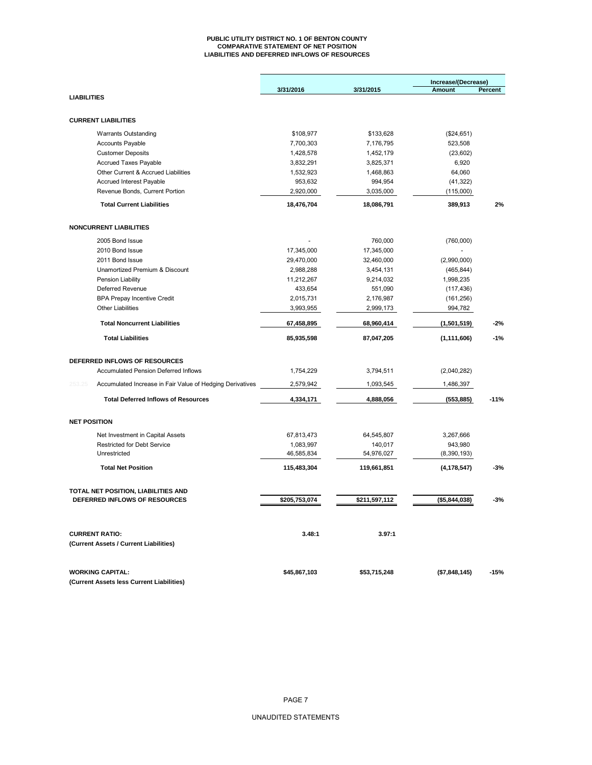#### **PUBLIC UTILITY DISTRICT NO. 1 OF BENTON COUNTY COMPARATIVE STATEMENT OF NET POSITION LIABILITIES AND DEFERRED INFLOWS OF RESOURCES**

|                                                                     | 3/31/2016     | 3/31/2015     | Increase/(Decrease)<br>Amount | Percent |  |
|---------------------------------------------------------------------|---------------|---------------|-------------------------------|---------|--|
| <b>LIABILITIES</b>                                                  |               |               |                               |         |  |
|                                                                     |               |               |                               |         |  |
| <b>CURRENT LIABILITIES</b>                                          |               |               |                               |         |  |
| <b>Warrants Outstanding</b>                                         | \$108,977     | \$133,628     | (\$24,651)                    |         |  |
| <b>Accounts Payable</b>                                             | 7,700,303     | 7,176,795     | 523,508                       |         |  |
| <b>Customer Deposits</b>                                            | 1,428,578     | 1,452,179     | (23,602)                      |         |  |
| <b>Accrued Taxes Payable</b>                                        | 3,832,291     | 3,825,371     | 6,920                         |         |  |
| Other Current & Accrued Liabilities                                 | 1,532,923     | 1,468,863     | 64,060                        |         |  |
| <b>Accrued Interest Payable</b>                                     | 953,632       | 994,954       | (41, 322)                     |         |  |
| Revenue Bonds, Current Portion                                      | 2,920,000     | 3,035,000     | (115,000)                     |         |  |
| <b>Total Current Liabilities</b>                                    | 18,476,704    | 18,086,791    | 389,913                       | 2%      |  |
| <b>NONCURRENT LIABILITIES</b>                                       |               |               |                               |         |  |
| 2005 Bond Issue                                                     |               | 760,000       | (760,000)                     |         |  |
| 2010 Bond Issue                                                     | 17,345,000    | 17,345,000    |                               |         |  |
| 2011 Bond Issue                                                     | 29,470,000    | 32,460,000    | (2,990,000)                   |         |  |
| Unamortized Premium & Discount                                      | 2,988,288     | 3,454,131     | (465, 844)                    |         |  |
| Pension Liability                                                   | 11,212,267    | 9,214,032     | 1,998,235                     |         |  |
| Deferred Revenue                                                    | 433,654       | 551,090       | (117, 436)                    |         |  |
| <b>BPA Prepay Incentive Credit</b>                                  | 2,015,731     | 2,176,987     | (161, 256)                    |         |  |
| <b>Other Liabilities</b>                                            | 3,993,955     | 2,999,173     | 994,782                       |         |  |
| <b>Total Noncurrent Liabilities</b>                                 | 67,458,895    | 68,960,414    | (1,501,519)                   | $-2%$   |  |
| <b>Total Liabilities</b>                                            | 85,935,598    | 87,047,205    | (1, 111, 606)                 | $-1%$   |  |
|                                                                     |               |               |                               |         |  |
| DEFERRED INFLOWS OF RESOURCES                                       |               |               |                               |         |  |
| <b>Accumulated Pension Deferred Inflows</b>                         | 1,754,229     | 3,794,511     | (2,040,282)                   |         |  |
| 253.25<br>Accumulated Increase in Fair Value of Hedging Derivatives | 2,579,942     | 1,093,545     | 1,486,397                     |         |  |
| <b>Total Deferred Inflows of Resources</b>                          | 4,334,171     | 4,888,056     |                               | $-11%$  |  |
|                                                                     |               |               | (553, 885)                    |         |  |
| <b>NET POSITION</b>                                                 |               |               |                               |         |  |
| Net Investment in Capital Assets                                    | 67,813,473    | 64,545,807    | 3,267,666                     |         |  |
| <b>Restricted for Debt Service</b>                                  | 1,083,997     | 140,017       | 943,980                       |         |  |
| Unrestricted                                                        | 46,585,834    | 54,976,027    | (8,390,193)                   |         |  |
| <b>Total Net Position</b>                                           | 115,483,304   | 119,661,851   | (4, 178, 547)                 | $-3%$   |  |
| TOTAL NET POSITION, LIABILITIES AND                                 |               |               |                               |         |  |
| DEFERRED INFLOWS OF RESOURCES                                       | \$205,753,074 | \$211,597,112 | (\$5,844,038)                 | $-3%$   |  |
|                                                                     |               |               |                               |         |  |
| <b>CURRENT RATIO:</b>                                               | 3.48:1        | 3.97:1        |                               |         |  |
| (Current Assets / Current Liabilities)                              |               |               |                               |         |  |
| <b>WORKING CAPITAL:</b>                                             | \$45,867,103  | \$53,715,248  | (\$7,848,145)                 | $-15%$  |  |
| (Current Assets less Current Liabilities)                           |               |               |                               |         |  |
|                                                                     |               |               |                               |         |  |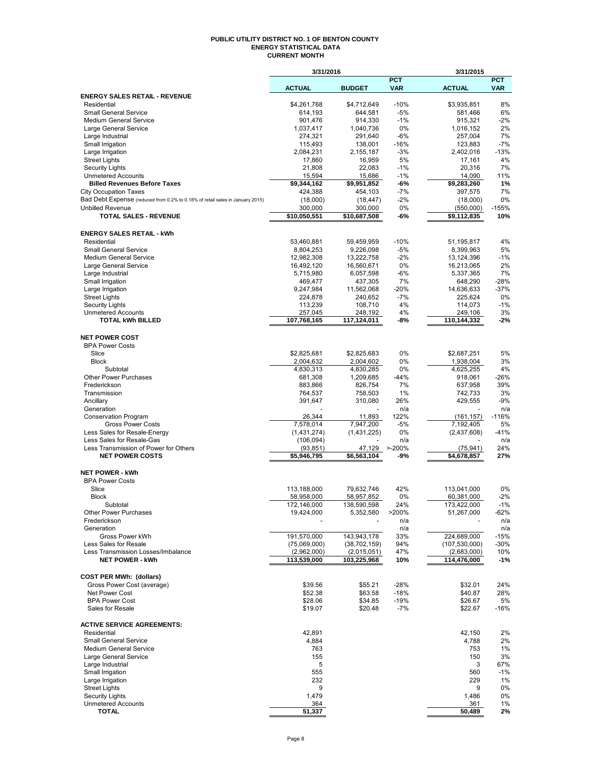### **PUBLIC UTILITY DISTRICT NO. 1 OF BENTON COUNTY ENERGY STATISTICAL DATA CURRENT MONTH**

|                                                                                                               | 3/31/2016                   |                               |                          | 3/31/2015                    |                          |  |  |
|---------------------------------------------------------------------------------------------------------------|-----------------------------|-------------------------------|--------------------------|------------------------------|--------------------------|--|--|
|                                                                                                               | <b>ACTUAL</b>               | <b>BUDGET</b>                 | <b>PCT</b><br><b>VAR</b> | <b>ACTUAL</b>                | <b>PCT</b><br><b>VAR</b> |  |  |
| <b>ENERGY SALES RETAIL - REVENUE</b>                                                                          |                             |                               |                          |                              |                          |  |  |
| Residential                                                                                                   | \$4,261,768                 | \$4,712,649                   | $-10%$                   | \$3,935,851                  | 8%                       |  |  |
| <b>Small General Service</b><br>Medium General Service                                                        | 614,193<br>901,476          | 644,581<br>914,330            | $-5%$<br>$-1%$           | 581,466<br>915,321           | 6%<br>-2%                |  |  |
| Large General Service                                                                                         | 1.037.417                   | 1,040,736                     | 0%                       | 1,016,152                    | 2%                       |  |  |
| Large Industrial                                                                                              | 274,321                     | 291,640                       | -6%                      | 257,004                      | 7%                       |  |  |
| Small Irrigation                                                                                              | 115,493                     | 138,001                       | $-16%$                   | 123,883                      | $-7%$                    |  |  |
| Large Irrigation<br><b>Street Lights</b>                                                                      | 2,084,231<br>17,860         | 2,155,187<br>16,959           | $-3%$<br>5%              | 2,402,016<br>17,161          | $-13%$<br>4%             |  |  |
| <b>Security Lights</b>                                                                                        | 21,808                      | 22,083                        | $-1%$                    | 20,316                       | 7%                       |  |  |
| <b>Unmetered Accounts</b>                                                                                     | 15,594                      | 15,686                        | $-1%$                    | 14,090                       | 11%                      |  |  |
| <b>Billed Revenues Before Taxes</b>                                                                           | \$9,344,162                 | \$9,951,852                   | -6%                      | \$9,283,260                  | 1%                       |  |  |
| <b>City Occupation Taxes</b><br>Bad Debt Expense (reduced from 0.2% to 0.18% of retail sales in January 2015) | 424,388                     | 454,103                       | $-7%$                    | 397,575                      | 7%<br>0%                 |  |  |
| <b>Unbilled Revenue</b>                                                                                       | (18,000)<br>300,000         | (18, 447)<br>300,000          | $-2\%$<br>0%             | (18,000)<br>(550,000)        | $-155%$                  |  |  |
| <b>TOTAL SALES - REVENUE</b>                                                                                  | \$10,050,551                | \$10,687,508                  | -6%                      | \$9,112,835                  | 10%                      |  |  |
|                                                                                                               |                             |                               |                          |                              |                          |  |  |
| <b>ENERGY SALES RETAIL - kWh</b>                                                                              |                             |                               |                          |                              |                          |  |  |
| Residential                                                                                                   | 53,460,881                  | 59,459,959                    | $-10%$                   | 51,195,817                   | 4%                       |  |  |
| <b>Small General Service</b><br><b>Medium General Service</b>                                                 | 8,804,253<br>12,982,308     | 9,226,098<br>13,222,758       | $-5%$<br>$-2%$           | 8,399,963<br>13,124,396      | 5%<br>$-1%$              |  |  |
| Large General Service                                                                                         | 16,492,120                  | 16,560,671                    | 0%                       | 16,213,065                   | 2%                       |  |  |
| Large Industrial                                                                                              | 5,715,980                   | 6,057,598                     | -6%                      | 5,337,365                    | 7%                       |  |  |
| Small Irrigation                                                                                              | 469,477                     | 437,305                       | 7%                       | 648,290                      | $-28%$                   |  |  |
| Large Irrigation<br><b>Street Lights</b>                                                                      | 9,247,984<br>224,878        | 11,562,068<br>240,652         | $-20%$<br>-7%            | 14,636,633<br>225,624        | $-37%$<br>0%             |  |  |
| <b>Security Lights</b>                                                                                        | 113,239                     | 108,710                       | 4%                       | 114.073                      | $-1%$                    |  |  |
| <b>Unmetered Accounts</b>                                                                                     | 257,045                     | 248,192                       | 4%                       | 249,106                      | 3%                       |  |  |
| <b>TOTAL kWh BILLED</b>                                                                                       | 107,768,165                 | 117,124,011                   | -8%                      | 110,144,332                  | -2%                      |  |  |
| <b>NET POWER COST</b>                                                                                         |                             |                               |                          |                              |                          |  |  |
| <b>BPA Power Costs</b>                                                                                        |                             |                               |                          |                              |                          |  |  |
| Slice                                                                                                         | \$2,825,681                 | \$2,825,683                   | 0%                       | \$2,687,251                  | 5%                       |  |  |
| <b>Block</b>                                                                                                  | 2,004,632                   | 2,004,602                     | 0%                       | 1,938,004                    | 3%                       |  |  |
| Subtotal                                                                                                      | 4,830,313                   | 4,830,285                     | 0%                       | 4,625,255                    | 4%                       |  |  |
| <b>Other Power Purchases</b><br>Frederickson                                                                  | 681,308<br>883,866          | 1,209,685<br>826,754          | $-44%$<br>7%             | 918,061<br>637,958           | -26%<br>39%              |  |  |
| Transmission                                                                                                  | 764,537                     | 758,503                       | 1%                       | 742,733                      | 3%                       |  |  |
| Ancillary                                                                                                     | 391,647                     | 310,080                       | 26%                      | 429,555                      | $-9%$                    |  |  |
| Generation                                                                                                    |                             |                               | n/a                      |                              | n/a                      |  |  |
| Conservation Program<br><b>Gross Power Costs</b>                                                              | 26,344<br>7,578,014         | 11,893<br>7,947,200           | 122%<br>$-5%$            | (161, 157)<br>7,192,405      | $-116%$<br>5%            |  |  |
| Less Sales for Resale-Energy                                                                                  | (1,431,274)                 | (1,431,225)                   | 0%                       | (2,437,608)                  | $-41%$                   |  |  |
| Less Sales for Resale-Gas                                                                                     | (106, 094)                  |                               | n/a                      |                              | n/a                      |  |  |
| Less Transmission of Power for Others                                                                         | (93, 851)                   | 47,129                        | $> -200%$                | (75, 941)                    | 24%                      |  |  |
| <b>NET POWER COSTS</b>                                                                                        | \$5,946,795                 | \$6,563,104                   | -9%                      | \$4,678,857                  | 27%                      |  |  |
| <b>NET POWER - kWh</b>                                                                                        |                             |                               |                          |                              |                          |  |  |
| <b>BPA Power Costs</b>                                                                                        |                             |                               |                          |                              |                          |  |  |
| Slice                                                                                                         | 113,188,000                 | 79,632,746                    | 42%                      | 113,041,000                  | 0%                       |  |  |
| <b>Block</b><br>Subtotal                                                                                      | 58,958,000                  | 58,957,852                    | 0%                       | 60,381,000                   | $-2%$<br>$-1%$           |  |  |
| <b>Other Power Purchases</b>                                                                                  | 172,146,000<br>19,424,000   | 138,590,598<br>5,352,580      | 24%<br>>200%             | 173,422,000<br>51,267,000    | -62%                     |  |  |
| Frederickson                                                                                                  |                             |                               | n/a                      |                              | n/a                      |  |  |
| Generation                                                                                                    |                             |                               | n/a                      |                              | n/a                      |  |  |
| Gross Power kWh<br>Less Sales for Resale                                                                      | 191,570,000<br>(75,069,000) | 143,943,178<br>(38, 702, 159) | 33%<br>94%               | 224,689,000<br>(107,530,000) | $-15%$<br>$-30%$         |  |  |
| Less Transmission Losses/Imbalance                                                                            | (2,962,000)                 | (2,015,051)                   | 47%                      | (2,683,000)                  | 10%                      |  |  |
| <b>NET POWER - kWh</b>                                                                                        | 113,539,000                 | 103,225,968                   | 10%                      | 114,476,000                  | $-1%$                    |  |  |
|                                                                                                               |                             |                               |                          |                              |                          |  |  |
| <b>COST PER MWh: (dollars)</b>                                                                                |                             |                               |                          |                              |                          |  |  |
| Gross Power Cost (average)<br>Net Power Cost                                                                  | \$39.56<br>\$52.38          | \$55.21<br>\$63.58            | $-28%$<br>$-18%$         | \$32.01<br>\$40.87           | 24%<br>28%               |  |  |
| <b>BPA Power Cost</b>                                                                                         | \$28.06                     | \$34.85                       | $-19%$                   | \$26.67                      | 5%                       |  |  |
| Sales for Resale                                                                                              | \$19.07                     | \$20.48                       | $-7%$                    | \$22.67                      | -16%                     |  |  |
|                                                                                                               |                             |                               |                          |                              |                          |  |  |
| <b>ACTIVE SERVICE AGREEMENTS:</b>                                                                             |                             |                               |                          |                              |                          |  |  |
| Residential<br><b>Small General Service</b>                                                                   | 42,891<br>4,884             |                               |                          | 42,150<br>4,788              | 2%<br>2%                 |  |  |
| <b>Medium General Service</b>                                                                                 | 763                         |                               |                          | 753                          | 1%                       |  |  |
| Large General Service                                                                                         | 155                         |                               |                          | 150                          | 3%                       |  |  |
| Large Industrial                                                                                              | 5                           |                               |                          | 3                            | 67%                      |  |  |
| Small Irrigation<br>Large Irrigation                                                                          | 555<br>232                  |                               |                          | 560<br>229                   | $-1%$<br>$1\%$           |  |  |
| <b>Street Lights</b>                                                                                          | 9                           |                               |                          | 9                            | 0%                       |  |  |
| <b>Security Lights</b>                                                                                        | 1,479                       |                               |                          | 1,486                        | 0%                       |  |  |
| <b>Unmetered Accounts</b>                                                                                     | 364<br>51,337               |                               |                          | 361                          | 1%                       |  |  |
| <b>TOTAL</b>                                                                                                  |                             |                               |                          | 50,489                       | 2%                       |  |  |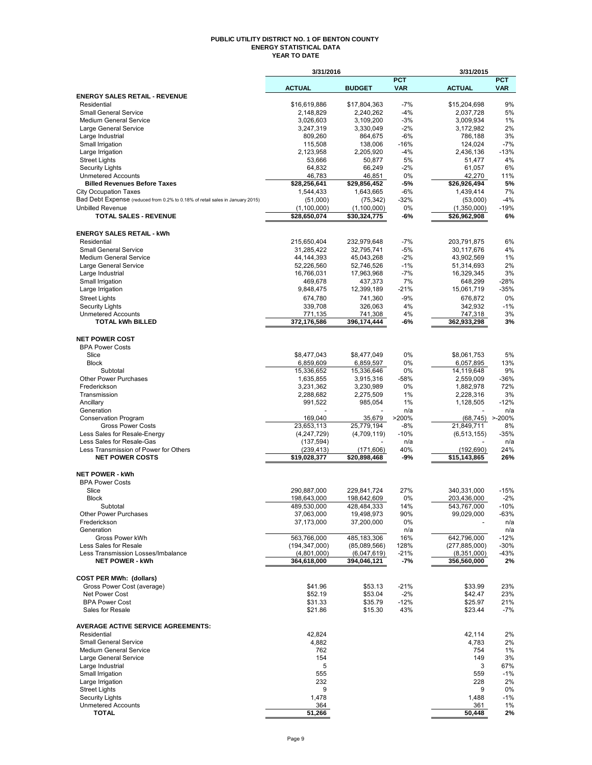### **PUBLIC UTILITY DISTRICT NO. 1 OF BENTON COUNTY ENERGY STATISTICAL DATA YEAR TO DATE**

|                                                                               | 3/31/2016                |                                    |                          | 3/31/2015              |                          |
|-------------------------------------------------------------------------------|--------------------------|------------------------------------|--------------------------|------------------------|--------------------------|
|                                                                               | <b>ACTUAL</b>            | <b>BUDGET</b>                      | <b>PCT</b><br><b>VAR</b> | <b>ACTUAL</b>          | <b>PCT</b><br><b>VAR</b> |
| <b>ENERGY SALES RETAIL - REVENUE</b>                                          |                          |                                    |                          |                        |                          |
| Residential                                                                   | \$16,619,886             | \$17,804,363                       | $-7%$                    | \$15,204,698           | 9%                       |
| <b>Small General Service</b>                                                  | 2,148,829                | 2,240,262                          | $-4%$                    | 2,037,728              | 5%                       |
| <b>Medium General Service</b><br>Large General Service                        | 3,026,603<br>3,247,319   | 3,109,200<br>3,330,049             | $-3%$<br>$-2%$           | 3,009,934<br>3,172,982 | 1%<br>2%                 |
| Large Industrial                                                              | 809,260                  | 864,675                            | -6%                      | 786,188                | 3%                       |
| Small Irrigation                                                              | 115,508                  | 138,006                            | $-16%$                   | 124,024                | $-7%$                    |
| Large Irrigation                                                              | 2,123,958                | 2,205,920                          | $-4%$                    | 2,436,136              | $-13%$                   |
| <b>Street Lights</b>                                                          | 53,666                   | 50,877                             | 5%                       | 51,477                 | 4%                       |
| <b>Security Lights</b>                                                        | 64,832                   | 66,249                             | $-2%$                    | 61,057                 | 6%                       |
| <b>Unmetered Accounts</b><br><b>Billed Revenues Before Taxes</b>              | 46,783<br>\$28,256,641   | 46,851<br>$\overline{$}29,856,452$ | 0%<br>-5%                | 42,270<br>\$26,926,494 | 11%<br>5%                |
| <b>City Occupation Taxes</b>                                                  | 1,544,433                | 1,643,665                          | $-6%$                    | 1,439,414              | 7%                       |
| Bad Debt Expense (reduced from 0.2% to 0.18% of retail sales in January 2015) | (51,000)                 | (75, 342)                          | $-32%$                   | (53,000)               | $-4%$                    |
| <b>Unbilled Revenue</b>                                                       | (1, 100, 000)            | (1,100,000)                        | 0%                       | (1,350,000)            | $-19%$                   |
| <b>TOTAL SALES - REVENUE</b>                                                  | \$28,650,074             | \$30,324,775                       | -6%                      | \$26,962,908           | 6%                       |
| <b>ENERGY SALES RETAIL - kWh</b>                                              |                          |                                    |                          |                        |                          |
| Residential                                                                   | 215,650,404              | 232,979,648                        | $-7%$                    | 203,791,875            | 6%                       |
| <b>Small General Service</b>                                                  | 31,285,422               | 32,795,741                         | $-5%$                    | 30,117,676             | 4%                       |
| <b>Medium General Service</b>                                                 | 44, 144, 393             | 45,043,268                         | $-2%$                    | 43,902,569             | 1%                       |
| Large General Service                                                         | 52,226,560               | 52,746,526                         | $-1%$                    | 51,314,693             | 2%                       |
| Large Industrial<br>Small Irrigation                                          | 16,766,031<br>469,678    | 17,963,968<br>437,373              | $-7%$<br>7%              | 16,329,345<br>648,299  | 3%<br>$-28%$             |
| Large Irrigation                                                              | 9,848,475                | 12,399,189                         | $-21%$                   | 15,061,719             | $-35%$                   |
| <b>Street Lights</b>                                                          | 674,780                  | 741,360                            | $-9%$                    | 676.872                | 0%                       |
| <b>Security Lights</b>                                                        | 339,708                  | 326,063                            | 4%                       | 342,932                | $-1%$                    |
| <b>Unmetered Accounts</b>                                                     | 771.135                  | 741,308                            | 4%                       | 747,318                | 3%                       |
| <b>TOTAL kWh BILLED</b>                                                       | 372,176,586              | 396,174,444                        | -6%                      | 362,933,298            | 3%                       |
| <b>NET POWER COST</b>                                                         |                          |                                    |                          |                        |                          |
| <b>BPA Power Costs</b>                                                        |                          |                                    |                          |                        |                          |
| Slice                                                                         | \$8,477,043              | \$8,477,049                        | 0%                       | \$8,061,753            | 5%                       |
| <b>Block</b>                                                                  | 6,859,609                | 6,859,597                          | 0%                       | 6,057,895              | 13%                      |
| Subtotal                                                                      | 15,336,652               | 15,336,646                         | 0%                       | 14,119,648             | 9%                       |
| <b>Other Power Purchases</b>                                                  | 1,635,855                | 3,915,316                          | $-58%$                   | 2,559,009              | $-36%$                   |
| Frederickson<br>Transmission                                                  | 3,231,362                | 3,230,989                          | 0%<br>1%                 | 1,882,978              | 72%<br>3%                |
| Ancillary                                                                     | 2,288,682<br>991,522     | 2,275,509<br>985,054               | 1%                       | 2,228,316<br>1,128,505 | $-12%$                   |
| Generation                                                                    |                          |                                    | n/a                      |                        | n/a                      |
| <b>Conservation Program</b>                                                   | 169,040                  | 35,679                             | >200%                    | (68, 745)              | $> -200%$                |
| <b>Gross Power Costs</b>                                                      | 23,653,113               | 25,779,194                         | -8%                      | 21,849,711             | 8%                       |
| Less Sales for Resale-Energy                                                  | (4,247,729)              | (4,709,119)                        | $-10%$                   | (6, 513, 155)          | $-35%$                   |
| Less Sales for Resale-Gas<br>Less Transmission of Power for Others            | (137, 594)<br>(239, 413) | (171, 606)                         | n/a<br>40%               | (192, 690)             | n/a<br>24%               |
| <b>NET POWER COSTS</b>                                                        | \$19,028,377             | \$20,898,468                       | -9%                      | \$15,143,865           | 26%                      |
|                                                                               |                          |                                    |                          |                        |                          |
| <b>NET POWER - kWh</b><br><b>BPA Power Costs</b>                              |                          |                                    |                          |                        |                          |
| Slice                                                                         | 290,887,000              | 229,841,724                        | 27%                      | 340,331,000            | $-15%$                   |
| <b>Block</b>                                                                  | 198,643,000              | 198,642,609                        | 0%                       | 203,436,000            | $-2%$                    |
| Subtotal                                                                      | 489,530,000              | 428,484,333                        | 14%                      | 543,767,000            | $-10%$                   |
| <b>Other Power Purchases</b>                                                  | 37,063,000               | 19,498,973                         | 90%                      | 99,029,000             | -63%                     |
| Frederickson                                                                  | 37,173,000               | 37,200,000                         | 0%                       |                        | n/a                      |
| Generation<br>Gross Power kWh                                                 | 563,766,000              | 485,183,306                        | n/a<br>16%               | 642,796,000            | n/a<br>$-12%$            |
| Less Sales for Resale                                                         | (194, 347, 000)          | (85,089,566)                       | 128%                     | (277, 885, 000)        | $-30%$                   |
| Less Transmission Losses/Imbalance                                            | (4,801,000)              | (6,047,619)                        | $-21%$                   | (8,351,000)            | -43%                     |
| <b>NET POWER - kWh</b>                                                        | 364,618,000              | 394,046,121                        | $-7%$                    | 356,560,000            | 2%                       |
| <b>COST PER MWh: (dollars)</b>                                                |                          |                                    |                          |                        |                          |
| Gross Power Cost (average)                                                    | \$41.96                  | \$53.13                            | $-21%$                   | \$33.99                | 23%                      |
| <b>Net Power Cost</b>                                                         | \$52.19                  | \$53.04                            | $-2%$                    | \$42.47                | 23%                      |
| <b>BPA Power Cost</b>                                                         | \$31.33                  | \$35.79                            | $-12%$                   | \$25.97                | 21%                      |
| Sales for Resale                                                              | \$21.86                  | \$15.30                            | 43%                      | \$23.44                | $-7%$                    |
| <b>AVERAGE ACTIVE SERVICE AGREEMENTS:</b>                                     |                          |                                    |                          |                        |                          |
| Residential                                                                   | 42,824                   |                                    |                          | 42,114                 | 2%                       |
| <b>Small General Service</b>                                                  | 4,882                    |                                    |                          | 4,783                  | 2%                       |
| <b>Medium General Service</b>                                                 | 762                      |                                    |                          | 754                    | 1%                       |
| Large General Service<br>Large Industrial                                     | 154<br>5                 |                                    |                          | 149<br>3               | 3%<br>67%                |
| Small Irrigation                                                              | 555                      |                                    |                          | 559                    | $-1%$                    |
| Large Irrigation                                                              | 232                      |                                    |                          | 228                    | 2%                       |
| <b>Street Lights</b>                                                          | 9                        |                                    |                          | 9                      | 0%                       |
| <b>Security Lights</b>                                                        | 1,478                    |                                    |                          | 1,488                  | $-1%$                    |
| <b>Unmetered Accounts</b><br><b>TOTAL</b>                                     | 364<br>51,266            |                                    |                          | 361<br>50,448          | 1%<br>2%                 |
|                                                                               |                          |                                    |                          |                        |                          |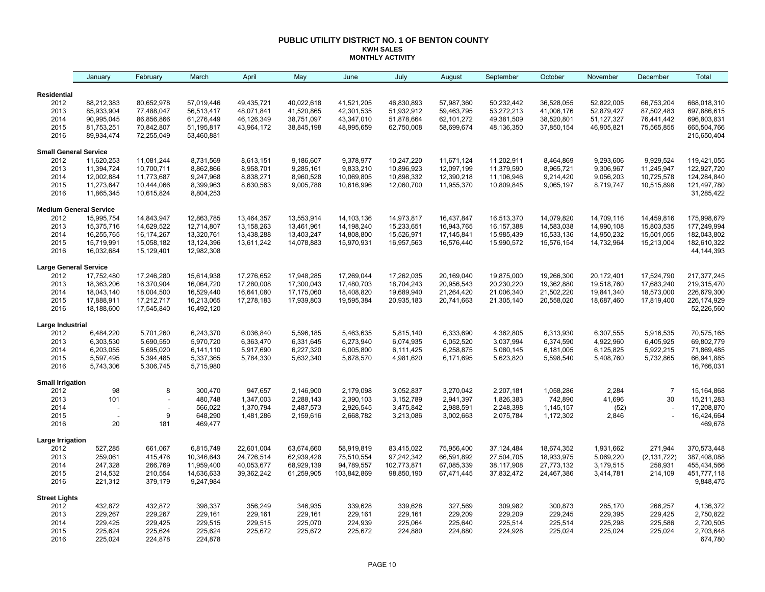### **PUBLIC UTILITY DISTRICT NO. 1 OF BENTON COUNTY KWH SALES MONTHLY ACTIVITY**

|                                       | January                  | February                 | March                   | April      | May        | June        | July                     | August                     | September    | October    | November   | December       | Total                     |
|---------------------------------------|--------------------------|--------------------------|-------------------------|------------|------------|-------------|--------------------------|----------------------------|--------------|------------|------------|----------------|---------------------------|
| <b>Residential</b>                    |                          |                          |                         |            |            |             |                          |                            |              |            |            |                |                           |
| 2012                                  | 88,212,383               | 80,652,978               | 57,019,446              | 49,435,721 | 40,022,618 | 41,521,205  | 46,830,893               | 57,987,360                 | 50,232,442   | 36,528,055 | 52,822,005 | 66,753,204     | 668,018,310               |
| 2013                                  | 85,933,904               | 77,488,047               | 56,513,417              | 48,071,841 | 41,520,865 | 42,301,535  | 51,932,912               | 59,463,795                 | 53,272,213   | 41,006,176 | 52,879,427 | 87,502,483     | 697,886,615               |
| 2014                                  | 90,995,045               | 86,856,866               | 61,276,449              | 46,126,349 | 38,751,097 | 43,347,010  | 51,878,664               | 62,101,272                 | 49,381,509   | 38,520,801 | 51,127,327 | 76,441,442     | 696,803,831               |
| 2015                                  | 81,753,251               | 70,842,807               | 51,195,817              | 43,964,172 | 38,845,198 | 48,995,659  | 62,750,008               | 58,699,674                 | 48,136,350   | 37,850,154 | 46,905,821 | 75,565,855     | 665,504,766               |
| 2016                                  | 89,934,474               | 72,255,049               | 53,460,881              |            |            |             |                          |                            |              |            |            |                | 215,650,404               |
| <b>Small General Service</b>          |                          |                          |                         |            |            |             |                          |                            |              |            |            |                |                           |
| 2012                                  | 11,620,253               | 11,081,244               | 8,731,569               | 8,613,151  | 9,186,607  | 9,378,977   | 10,247,220               | 11,671,124                 | 11,202,911   | 8,464,869  | 9,293,606  | 9,929,524      | 119,421,055               |
| 2013                                  | 11,394,724               | 10,700,711               | 8,862,866               | 8,958,701  | 9,285,161  | 9,833,210   | 10,896,923               | 12,097,199                 | 11,379,590   | 8,965,721  | 9,306,967  | 11,245,947     | 122,927,720               |
| 2014                                  | 12,002,884               | 11,773,687               | 9,247,968               | 8,838,271  | 8,960,528  | 10,069,805  | 10,898,332               | 12,390,218                 | 11,106,946   | 9,214,420  | 9,056,203  | 10,725,578     | 124,284,840               |
| 2015<br>2016                          | 11,273,647<br>11,865,345 | 10,444,066<br>10,615,824 | 8,399,963<br>8,804,253  | 8,630,563  | 9,005,788  | 10,616,996  | 12,060,700               | 11,955,370                 | 10,809,845   | 9,065,197  | 8,719,747  | 10,515,898     | 121,497,780<br>31,285,422 |
|                                       |                          |                          |                         |            |            |             |                          |                            |              |            |            |                |                           |
| <b>Medium General Service</b><br>2012 | 15,995,754               |                          | 12,863,785              | 13,464,357 | 13,553,914 | 14,103,136  |                          | 16,437,847                 | 16,513,370   | 14,079,820 | 14,709,116 | 14,459,816     | 175,998,679               |
| 2013                                  | 15,375,716               | 14,843,947<br>14,629,522 | 12,714,807              | 13,158,263 | 13,461,961 | 14,198,240  | 14,973,817<br>15,233,651 |                            | 16, 157, 388 | 14,583,038 | 14,990,108 | 15,803,535     | 177,249,994               |
| 2014                                  | 16,255,765               | 16,174,267               | 13,320,761              | 13,438,288 | 13,403,247 | 14,808,800  | 15,526,971               | 16,943,765<br>17, 145, 841 | 15,985,439   | 15,533,136 | 14,950,232 | 15,501,055     | 182,043,802               |
| 2015                                  | 15,719,991               | 15,058,182               | 13,124,396              | 13,611,242 | 14,078,883 | 15,970,931  | 16,957,563               | 16,576,440                 | 15,990,572   | 15,576,154 | 14,732,964 | 15,213,004     | 182,610,322               |
| 2016                                  | 16,032,684               | 15,129,401               | 12,982,308              |            |            |             |                          |                            |              |            |            |                | 44, 144, 393              |
| <b>Large General Service</b>          |                          |                          |                         |            |            |             |                          |                            |              |            |            |                |                           |
| 2012                                  | 17,752,480               | 17,246,280               | 15,614,938              | 17,276,652 | 17,948,285 | 17,269,044  | 17,262,035               | 20,169,040                 | 19,875,000   | 19,266,300 | 20,172,401 | 17,524,790     | 217, 377, 245             |
| 2013                                  | 18,363,206               | 16,370,904               | 16,064,720              | 17,280,008 | 17,300,043 | 17,480,703  | 18,704,243               | 20,956,543                 | 20,230,220   | 19,362,880 | 19,518,760 | 17,683,240     | 219,315,470               |
| 2014                                  | 18,043,140               | 18,004,500               | 16,529,440              | 16,641,080 | 17,175,060 | 18,408,820  | 19,689,940               | 21,264,420                 | 21,006,340   | 21,502,220 | 19,841,340 | 18,573,000     | 226,679,300               |
| 2015                                  | 17,888,911               | 17,212,717               | 16,213,065              | 17,278,183 | 17,939,803 | 19,595,384  | 20,935,183               | 20,741,663                 | 21,305,140   | 20,558,020 | 18,687,460 | 17,819,400     | 226, 174, 929             |
| 2016                                  | 18,188,600               | 17,545,840               | 16,492,120              |            |            |             |                          |                            |              |            |            |                | 52,226,560                |
| Large Industrial                      |                          |                          |                         |            |            |             |                          |                            |              |            |            |                |                           |
| 2012                                  | 6,484,220                | 5,701,260                | 6,243,370               | 6,036,840  | 5,596,185  | 5,463,635   | 5,815,140                | 6,333,690                  | 4,362,805    | 6,313,930  | 6,307,555  | 5,916,535      | 70,575,165                |
| 2013                                  | 6,303,530                | 5,690,550                | 5,970,720               | 6,363,470  | 6,331,645  | 6,273,940   | 6,074,935                | 6,052,520                  | 3,037,994    | 6,374,590  | 4,922,960  | 6,405,925      | 69,802,779                |
| 2014                                  | 6,203,055                | 5,695,020                | 6,141,110               | 5,917,690  | 6,227,320  | 6,005,800   | 6,111,425                | 6,258,875                  | 5,080,145    | 6,181,005  | 6,125,825  | 5,922,215      | 71,869,485                |
| 2015<br>2016                          | 5,597,495<br>5,743,306   | 5,394,485<br>5,306,745   | 5,337,365<br>5,715,980  | 5,784,330  | 5,632,340  | 5,678,570   | 4,981,620                | 6,171,695                  | 5,623,820    | 5,598,540  | 5,408,760  | 5,732,865      | 66,941,885<br>16,766,031  |
| <b>Small Irrigation</b>               |                          |                          |                         |            |            |             |                          |                            |              |            |            |                |                           |
| 2012                                  | 98                       | 8                        | 300,470                 | 947,657    | 2,146,900  | 2,179,098   | 3,052,837                | 3,270,042                  | 2,207,181    | 1,058,286  | 2,284      | $\overline{7}$ | 15, 164, 868              |
| 2013                                  | 101                      |                          | 480.748                 | 1,347,003  | 2,288,143  | 2,390,103   | 3,152,789                | 2,941,397                  | 1,826,383    | 742,890    | 41,696     | 30             | 15,211,283                |
| 2014                                  |                          |                          | 566,022                 | 1,370,794  | 2,487,573  | 2,926,545   | 3,475,842                | 2,988,591                  | 2,248,398    | 1,145,157  | (52)       |                | 17,208,870                |
| 2015                                  |                          | 9                        | 648,290                 | 1,481,286  | 2,159,616  | 2,668,782   | 3,213,086                | 3,002,663                  | 2,075,784    | 1,172,302  | 2,846      |                | 16,424,664                |
| 2016                                  | 20                       | 181                      | 469,477                 |            |            |             |                          |                            |              |            |            |                | 469,678                   |
| Large Irrigation                      |                          |                          |                         |            |            |             |                          |                            |              |            |            |                |                           |
| 2012                                  | 527,285                  | 661,067                  | 6,815,749               | 22,601,004 | 63,674,660 | 58,919,819  | 83,415,022               | 75,956,400                 | 37,124,484   | 18,674,352 | 1,931,662  | 271,944        | 370,573,448               |
| 2013                                  | 259,061                  | 415,476                  | 10,346,643              | 24,726,514 | 62,939,428 | 75,510,554  | 97,242,342               | 66,591,892                 | 27,504,705   | 18,933,975 | 5,069,220  | (2, 131, 722)  | 387,408,088               |
| 2014                                  | 247,328                  | 266,769                  | 11,959,400              | 40,053,677 | 68,929,139 | 94,789,557  | 102,773,871              | 67,085,339                 | 38,117,908   | 27,773,132 | 3,179,515  | 258,931        | 455,434,566               |
| 2015<br>2016                          | 214,532<br>221,312       | 210,554<br>379,179       | 14,636,633<br>9,247,984 | 39,362,242 | 61,259,905 | 103,842,869 | 98,850,190               | 67,471,445                 | 37,832,472   | 24,467,386 | 3,414,781  | 214,109        | 451,777,118<br>9,848,475  |
| <b>Street Lights</b>                  |                          |                          |                         |            |            |             |                          |                            |              |            |            |                |                           |
| 2012                                  | 432,872                  | 432,872                  | 398,337                 | 356,249    | 346,935    | 339,628     | 339,628                  | 327,569                    | 309,982      | 300,873    | 285,170    | 266,257        | 4,136,372                 |
| 2013                                  | 229,267                  | 229,267                  | 229,161                 | 229,161    | 229,161    | 229,161     | 229,161                  | 229,209                    | 229,209      | 229,245    | 229,395    | 229,425        | 2,750,822                 |
| 2014                                  | 229,425                  | 229,425                  | 229,515                 | 229,515    | 225,070    | 224,939     | 225,064                  | 225,640                    | 225,514      | 225,514    | 225,298    | 225,586        | 2,720,505                 |
| 2015                                  | 225,624                  | 225,624                  | 225,624                 | 225,672    | 225,672    | 225,672     | 224,880                  | 224,880                    | 224,928      | 225,024    | 225,024    | 225,024        | 2,703,648                 |
| 2016                                  | 225,024                  | 224,878                  | 224,878                 |            |            |             |                          |                            |              |            |            |                | 674,780                   |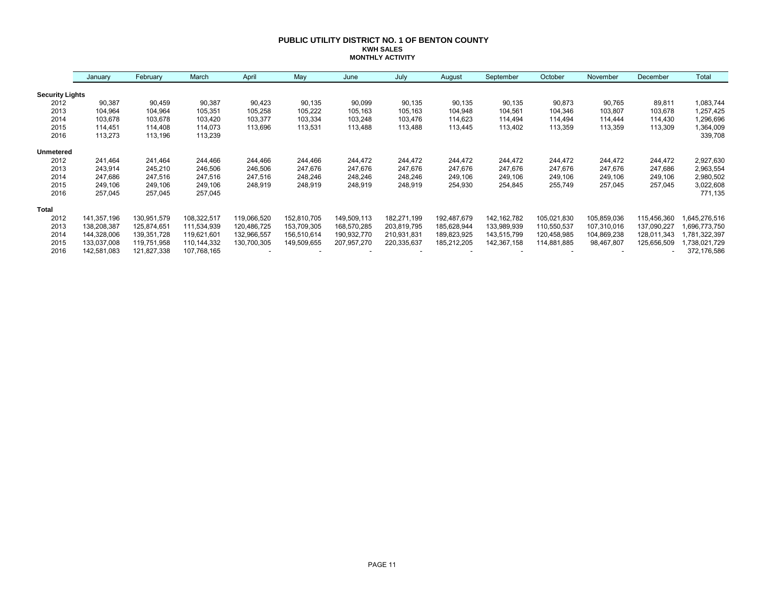### **PUBLIC UTILITY DISTRICT NO. 1 OF BENTON COUNTY KWH SALES MONTHLY ACTIVITY**

|                        | January     | February    | March         | April       | May         | June        | July        | August      | September     | October     | November    | December    | Total        |
|------------------------|-------------|-------------|---------------|-------------|-------------|-------------|-------------|-------------|---------------|-------------|-------------|-------------|--------------|
| <b>Security Lights</b> |             |             |               |             |             |             |             |             |               |             |             |             |              |
| 2012                   | 90,387      | 90,459      | 90,387        | 90,423      | 90,135      | 90,099      | 90,135      | 90,135      | 90,135        | 90,873      | 90,765      | 89,811      | 1,083,744    |
| 2013                   | 104,964     | 104,964     | 105,351       | 105,258     | 105,222     | 105,163     | 105,163     | 104,948     | 104,561       | 104,346     | 103,807     | 103,678     | 1,257,425    |
| 2014                   | 103,678     | 103,678     | 103,420       | 103,377     | 103,334     | 103,248     | 103,476     | 114,623     | 114,494       | 114,494     | 114,444     | 114,430     | 1,296,696    |
| 2015                   | 114.451     | 114,408     | 114,073       | 113,696     | 113,531     | 113,488     | 113,488     | 113,445     | 113,402       | 113,359     | 113,359     | 113,309     | 1,364,009    |
| 2016                   | 113,273     | 113,196     | 113,239       |             |             |             |             |             |               |             |             |             | 339,708      |
| <b>Unmetered</b>       |             |             |               |             |             |             |             |             |               |             |             |             |              |
| 2012                   | 241.464     | 241,464     | 244,466       | 244,466     | 244,466     | 244,472     | 244,472     | 244,472     | 244,472       | 244,472     | 244,472     | 244,472     | 2,927,630    |
| 2013                   | 243,914     | 245,210     | 246,506       | 246,506     | 247,676     | 247,676     | 247,676     | 247,676     | 247,676       | 247,676     | 247,676     | 247,686     | 2,963,554    |
| 2014                   | 247,686     | 247,516     | 247,516       | 247,516     | 248,246     | 248,246     | 248,246     | 249,106     | 249,106       | 249,106     | 249,106     | 249,106     | 2,980,502    |
| 2015                   | 249,106     | 249,106     | 249,106       | 248,919     | 248,919     | 248,919     | 248,919     | 254,930     | 254,845       | 255,749     | 257,045     | 257,045     | 3,022,608    |
| 2016                   | 257,045     | 257,045     | 257,045       |             |             |             |             |             |               |             |             |             | 771,135      |
| <b>Total</b>           |             |             |               |             |             |             |             |             |               |             |             |             |              |
| 2012                   | 141,357,196 | 130,951,579 | 108,322,517   | 119,066,520 | 152,810,705 | 149,509,113 | 182,271,199 | 192,487,679 | 142, 162, 782 | 105,021,830 | 105,859,036 | 115,456,360 | ,645,276,516 |
| 2013                   | 138,208,387 | 125,874,651 | 111,534,939   | 120,486,725 | 153,709,305 | 168,570,285 | 203,819,795 | 185,628,944 | 133,989,939   | 110,550,537 | 107,310,016 | 137,090,227 | 696,773,750  |
| 2014                   | 144,328,006 | 139,351,728 | 119,621,601   | 132,966,557 | 156,510,614 | 190,932,770 | 210,931,831 | 189,823,925 | 143,515,799   | 120,458,985 | 104,869,238 | 128,011,343 | ,781,322,397 |
| 2015                   | 133,037,008 | 119,751,958 | 110, 144, 332 | 130,700,305 | 149,509,655 | 207,957,270 | 220,335,637 | 185,212,205 | 142,367,158   | 114,881,885 | 98,467,807  | 125,656,509 | ,738,021,729 |
| 2016                   | 142,581,083 | 121,827,338 | 107,768,165   |             |             |             |             |             |               |             |             |             | 372,176,586  |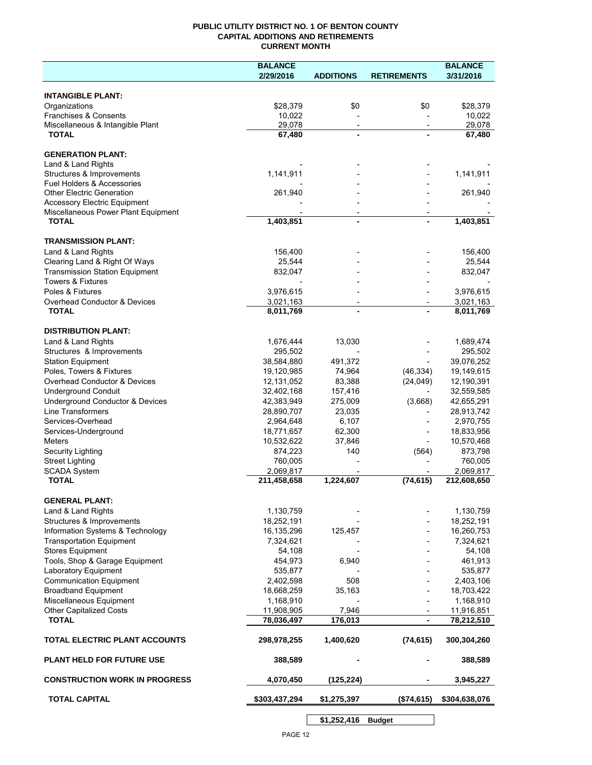### **PUBLIC UTILITY DISTRICT NO. 1 OF BENTON COUNTY CAPITAL ADDITIONS AND RETIREMENTS CURRENT MONTH**

|                                                                            | <b>BALANCE</b>           |                          |                          | <b>BALANCE</b>           |
|----------------------------------------------------------------------------|--------------------------|--------------------------|--------------------------|--------------------------|
|                                                                            | 2/29/2016                | <b>ADDITIONS</b>         | <b>RETIREMENTS</b>       | 3/31/2016                |
| <b>INTANGIBLE PLANT:</b>                                                   |                          |                          |                          |                          |
| Organizations                                                              | \$28,379                 | \$0                      | \$0                      | \$28,379                 |
| Franchises & Consents                                                      | 10,022                   |                          |                          | 10,022                   |
| Miscellaneous & Intangible Plant                                           | 29,078                   | $\overline{\phantom{a}}$ | $\overline{\phantom{a}}$ | 29,078                   |
| <b>TOTAL</b>                                                               | 67,480                   | $\blacksquare$           |                          | 67,480                   |
| <b>GENERATION PLANT:</b>                                                   |                          |                          |                          |                          |
| Land & Land Rights                                                         |                          |                          |                          |                          |
| Structures & Improvements                                                  | 1,141,911                |                          |                          | 1,141,911                |
| <b>Fuel Holders &amp; Accessories</b>                                      |                          |                          |                          |                          |
| <b>Other Electric Generation</b>                                           | 261,940                  |                          |                          | 261,940                  |
| <b>Accessory Electric Equipment</b><br>Miscellaneous Power Plant Equipment |                          | $\overline{\phantom{a}}$ |                          |                          |
| <b>TOTAL</b>                                                               | 1,403,851                | $\blacksquare$           |                          | $\overline{1,}403,851$   |
|                                                                            |                          |                          |                          |                          |
| <b>TRANSMISSION PLANT:</b>                                                 |                          |                          |                          |                          |
| Land & Land Rights                                                         | 156,400                  |                          |                          | 156,400                  |
| Clearing Land & Right Of Ways<br><b>Transmission Station Equipment</b>     | 25,544<br>832,047        |                          |                          | 25,544<br>832,047        |
| <b>Towers &amp; Fixtures</b>                                               |                          |                          |                          |                          |
| Poles & Fixtures                                                           | 3,976,615                |                          |                          | 3,976,615                |
| Overhead Conductor & Devices                                               | 3,021,163                |                          |                          | 3,021,163                |
| <b>TOTAL</b>                                                               | 8,011,769                |                          |                          | 8,011,769                |
|                                                                            |                          |                          |                          |                          |
| <b>DISTRIBUTION PLANT:</b><br>Land & Land Rights                           | 1,676,444                | 13,030                   |                          | 1,689,474                |
| Structures & Improvements                                                  | 295,502                  |                          |                          | 295,502                  |
| <b>Station Equipment</b>                                                   | 38,584,880               | 491,372                  |                          | 39,076,252               |
| Poles, Towers & Fixtures                                                   | 19,120,985               | 74,964                   | (46, 334)                | 19,149,615               |
| Overhead Conductor & Devices                                               | 12,131,052               | 83,388                   | (24, 049)                | 12,190,391               |
| <b>Underground Conduit</b>                                                 | 32,402,168               | 157,416                  |                          | 32,559,585               |
| Underground Conductor & Devices                                            | 42,383,949               | 275,009                  | (3,668)                  | 42,655,291               |
| <b>Line Transformers</b>                                                   | 28,890,707               | 23,035                   |                          | 28,913,742               |
| Services-Overhead                                                          | 2,964,648                | 6,107                    |                          | 2,970,755                |
| Services-Underground<br>Meters                                             | 18,771,657<br>10,532,622 | 62,300<br>37,846         |                          | 18,833,956<br>10,570,468 |
| Security Lighting                                                          | 874,223                  | 140                      | (564)                    | 873,798                  |
| <b>Street Lighting</b>                                                     | 760,005                  |                          |                          | 760,005                  |
| <b>SCADA System</b>                                                        | 2,069,817                |                          |                          | 2,069,817                |
| <b>TOTAL</b>                                                               | 211,458,658              | 1,224,607                | (74, 615)                | 212,608,650              |
| <b>GENERAL PLANT:</b>                                                      |                          |                          |                          |                          |
| Land & Land Rights                                                         | 1,130,759                |                          |                          | 1,130,759                |
| Structures & Improvements                                                  | 18,252,191               |                          |                          | 18,252,191               |
| Information Systems & Technology                                           | 16,135,296               | 125,457                  |                          | 16,260,753               |
| <b>Transportation Equipment</b>                                            | 7,324,621                |                          |                          | 7,324,621                |
| <b>Stores Equipment</b>                                                    | 54,108                   |                          |                          | 54,108                   |
| Tools, Shop & Garage Equipment                                             | 454,973                  | 6,940                    |                          | 461,913                  |
| Laboratory Equipment                                                       | 535,877                  |                          |                          | 535,877                  |
| <b>Communication Equipment</b>                                             | 2,402,598                | 508                      |                          | 2,403,106                |
| <b>Broadband Equipment</b>                                                 | 18,668,259               | 35,163                   |                          | 18,703,422               |
| Miscellaneous Equipment<br><b>Other Capitalized Costs</b>                  | 1,168,910<br>11,908,905  | 7,946                    |                          | 1,168,910                |
| <b>TOTAL</b>                                                               | 78,036,497               | 176,013                  | $\overline{\phantom{a}}$ | 11,916,851<br>78,212,510 |
| TOTAL ELECTRIC PLANT ACCOUNTS                                              | 298,978,255              | 1,400,620                | (74, 615)                | 300,304,260              |
| <b>PLANT HELD FOR FUTURE USE</b>                                           | 388,589                  |                          |                          | 388,589                  |
|                                                                            |                          |                          |                          |                          |
| <b>CONSTRUCTION WORK IN PROGRESS</b>                                       | 4,070,450                | (125, 224)               |                          | 3,945,227                |
| <b>TOTAL CAPITAL</b>                                                       | \$303,437,294            | \$1,275,397              | (\$74,615)               | \$304,638,076            |

**\$1,252,416 Budget**

 $\mathsf{l}$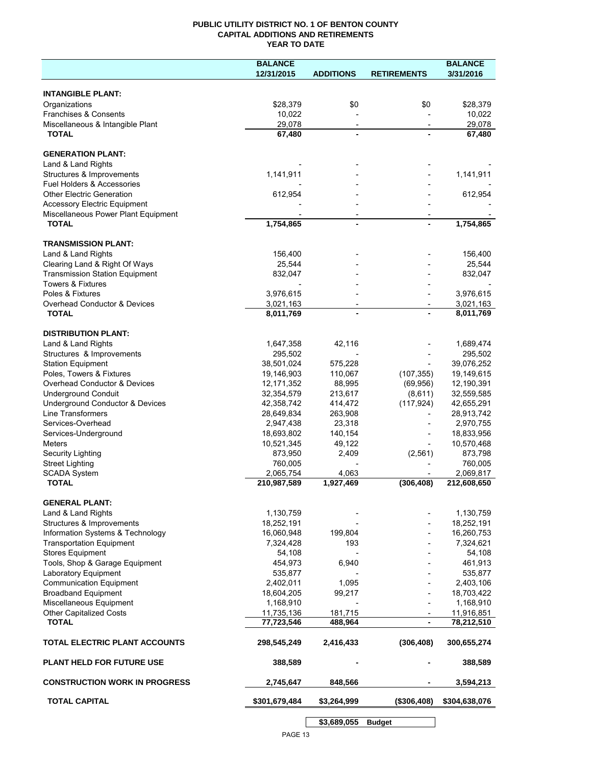### **PUBLIC UTILITY DISTRICT NO. 1 OF BENTON COUNTY CAPITAL ADDITIONS AND RETIREMENTS YEAR TO DATE**

|                                                       | <b>BALANCE</b>          |                          |                    | <b>BALANCE</b>          |
|-------------------------------------------------------|-------------------------|--------------------------|--------------------|-------------------------|
|                                                       | 12/31/2015              | <b>ADDITIONS</b>         | <b>RETIREMENTS</b> | 3/31/2016               |
|                                                       |                         |                          |                    |                         |
| <b>INTANGIBLE PLANT:</b>                              |                         |                          |                    |                         |
| Organizations                                         | \$28,379                | \$0                      | \$0                | \$28,379                |
| Franchises & Consents                                 | 10,022                  |                          |                    | 10,022                  |
| Miscellaneous & Intangible Plant<br><b>TOTAL</b>      | 29,078<br>67,480        | $\overline{\phantom{a}}$ |                    | 29,078<br>67,480        |
|                                                       |                         |                          |                    |                         |
| <b>GENERATION PLANT:</b>                              |                         |                          |                    |                         |
| Land & Land Rights                                    |                         |                          |                    |                         |
| Structures & Improvements                             | 1,141,911               |                          |                    | 1,141,911               |
| Fuel Holders & Accessories                            |                         |                          |                    |                         |
| <b>Other Electric Generation</b>                      | 612,954                 |                          |                    | 612,954                 |
| <b>Accessory Electric Equipment</b>                   |                         |                          |                    |                         |
| Miscellaneous Power Plant Equipment                   |                         |                          |                    |                         |
| <b>TOTAL</b>                                          | 1,754,865               | $\overline{a}$           |                    | 1,754,865               |
|                                                       |                         |                          |                    |                         |
| <b>TRANSMISSION PLANT:</b>                            |                         |                          |                    |                         |
| Land & Land Rights                                    | 156,400                 |                          |                    | 156,400                 |
| Clearing Land & Right Of Ways                         | 25,544                  |                          |                    | 25,544                  |
| <b>Transmission Station Equipment</b>                 | 832,047                 |                          |                    | 832,047                 |
| <b>Towers &amp; Fixtures</b>                          |                         |                          |                    |                         |
| Poles & Fixtures                                      | 3,976,615               |                          |                    | 3,976,615               |
| Overhead Conductor & Devices<br><b>TOTAL</b>          | 3,021,163<br>8,011,769  | $\overline{\phantom{a}}$ |                    | 3,021,163               |
|                                                       |                         |                          |                    | 8,011,769               |
| <b>DISTRIBUTION PLANT:</b>                            |                         |                          |                    |                         |
| Land & Land Rights                                    | 1,647,358               | 42,116                   |                    | 1,689,474               |
| Structures & Improvements                             | 295,502                 |                          |                    | 295,502                 |
| <b>Station Equipment</b>                              | 38,501,024              | 575,228                  |                    | 39,076,252              |
| Poles, Towers & Fixtures                              | 19,146,903              | 110,067                  | (107, 355)         | 19,149,615              |
| Overhead Conductor & Devices                          | 12, 171, 352            | 88,995                   | (69, 956)          | 12,190,391              |
| <b>Underground Conduit</b>                            | 32,354,579              | 213,617                  | (8,611)            | 32,559,585              |
| Underground Conductor & Devices                       | 42,358,742              | 414,472                  | (117, 924)         | 42,655,291              |
| Line Transformers                                     | 28,649,834              | 263,908                  |                    | 28,913,742              |
| Services-Overhead                                     | 2,947,438               | 23,318                   |                    | 2,970,755               |
| Services-Underground                                  | 18,693,802              | 140,154                  |                    | 18,833,956              |
| <b>Meters</b>                                         | 10,521,345              | 49,122                   |                    | 10,570,468              |
| Security Lighting                                     | 873,950                 | 2,409                    | (2, 561)           | 873,798                 |
| <b>Street Lighting</b>                                | 760,005                 |                          |                    | 760,005                 |
| <b>SCADA System</b>                                   | 2,065,754               | 4,063                    |                    | 2,069,817               |
| <b>TOTAL</b>                                          | 210,987,589             | 1,927,469                | (306, 408)         | 212,608,650             |
|                                                       |                         |                          |                    |                         |
| <b>GENERAL PLANT:</b>                                 |                         |                          |                    |                         |
| Land & Land Rights                                    | 1,130,759               |                          |                    | 1,130,759               |
| Structures & Improvements                             | 18,252,191              |                          |                    | 18,252,191              |
| Information Systems & Technology                      | 16,060,948              | 199,804                  |                    | 16,260,753              |
| <b>Transportation Equipment</b>                       | 7,324,428               | 193                      |                    | 7,324,621               |
| <b>Stores Equipment</b>                               | 54,108                  |                          |                    | 54,108                  |
| Tools, Shop & Garage Equipment                        | 454,973                 | 6,940                    |                    | 461,913                 |
| Laboratory Equipment                                  | 535,877                 |                          |                    | 535,877                 |
| <b>Communication Equipment</b>                        | 2,402,011<br>18,604,205 | 1,095                    |                    | 2,403,106               |
| <b>Broadband Equipment</b><br>Miscellaneous Equipment | 1,168,910               | 99,217                   |                    | 18,703,422<br>1,168,910 |
| Other Capitalized Costs                               | 11,735,136              | 181,715                  |                    | 11,916,851              |
| <b>TOTAL</b>                                          | 77,723,546              | 488,964                  | $\blacksquare$     | 78,212,510              |
|                                                       |                         |                          |                    |                         |
| TOTAL ELECTRIC PLANT ACCOUNTS                         | 298,545,249             | 2,416,433                | (306, 408)         | 300,655,274             |
| <b>PLANT HELD FOR FUTURE USE</b>                      | 388,589                 |                          |                    | 388,589                 |
| <b>CONSTRUCTION WORK IN PROGRESS</b>                  | 2,745,647               | 848,566                  |                    | 3,594,213               |
| <b>TOTAL CAPITAL</b>                                  | \$301,679,484           | \$3,264,999              | (\$306,408)        | \$304,638,076           |
|                                                       |                         |                          |                    |                         |
|                                                       |                         | \$3,689,055              | <b>Budget</b>      |                         |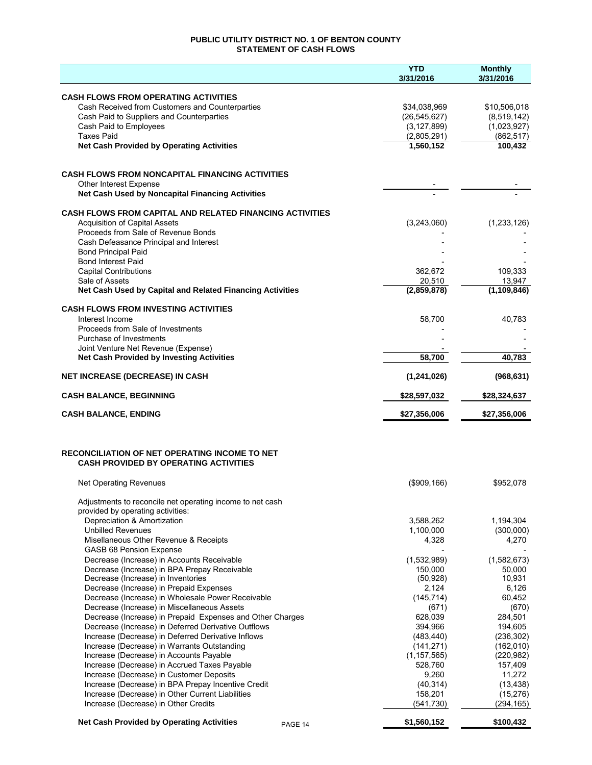### **PUBLIC UTILITY DISTRICT NO. 1 OF BENTON COUNTY STATEMENT OF CASH FLOWS**

| <b>CASH FLOWS FROM OPERATING ACTIVITIES</b><br>Cash Received from Customers and Counterparties<br>\$34,038,969<br>\$10,506,018<br>Cash Paid to Suppliers and Counterparties<br>(26, 545, 627)<br>(8,519,142)<br>Cash Paid to Employees<br>(3, 127, 899)<br>(1,023,927)<br><b>Taxes Paid</b><br>(862, 517)<br>(2,805,291)<br>100,432<br><b>Net Cash Provided by Operating Activities</b><br>1,560,152<br><b>CASH FLOWS FROM NONCAPITAL FINANCING ACTIVITIES</b><br>Other Interest Expense<br>Net Cash Used by Noncapital Financing Activities<br><b>CASH FLOWS FROM CAPITAL AND RELATED FINANCING ACTIVITIES</b><br><b>Acquisition of Capital Assets</b><br>(3,243,060)<br>(1,233,126)<br>Proceeds from Sale of Revenue Bonds<br>Cash Defeasance Principal and Interest<br><b>Bond Principal Paid</b><br><b>Bond Interest Paid</b><br><b>Capital Contributions</b><br>109,333<br>362,672<br>Sale of Assets<br>13,947<br>20,510<br>(2,859,878)<br>(1, 109, 846)<br>Net Cash Used by Capital and Related Financing Activities<br><b>CASH FLOWS FROM INVESTING ACTIVITIES</b><br>58,700<br>Interest Income<br>40,783<br>Proceeds from Sale of Investments<br>Purchase of Investments<br>Joint Venture Net Revenue (Expense)<br><b>Net Cash Provided by Investing Activities</b><br>58,700<br>40.783<br><b>NET INCREASE (DECREASE) IN CASH</b><br>(1,241,026)<br>(968, 631)<br><b>CASH BALANCE, BEGINNING</b><br>\$28,597,032<br>\$28,324,637<br><b>CASH BALANCE, ENDING</b><br>\$27,356,006<br>\$27,356,006<br><b>RECONCILIATION OF NET OPERATING INCOME TO NET</b><br><b>CASH PROVIDED BY OPERATING ACTIVITIES</b><br>$($ \$909,166)<br><b>Net Operating Revenues</b><br>\$952,078<br>Adjustments to reconcile net operating income to net cash<br>provided by operating activities:<br>Depreciation & Amortization<br>3,588,262<br>1,194,304<br><b>Unbilled Revenues</b><br>1,100,000<br>(300,000)<br>4,270<br>Misellaneous Other Revenue & Receipts<br>4,328<br><b>GASB 68 Pension Expense</b><br>(1,532,989)<br>(1,582,673)<br>Decrease (Increase) in Accounts Receivable<br>150,000<br>Decrease (Increase) in BPA Prepay Receivable<br>50.000<br>10,931<br>(50, 928)<br>Decrease (Increase) in Inventories<br>2,124<br>6,126<br>Decrease (Increase) in Prepaid Expenses<br>60,452<br>Decrease (Increase) in Wholesale Power Receivable<br>(145, 714)<br>Decrease (Increase) in Miscellaneous Assets<br>(671)<br>(670)<br>Decrease (Increase) in Prepaid Expenses and Other Charges<br>628,039<br>284,501<br>394,966<br>194,605<br>Decrease (Increase) in Deferred Derivative Outflows<br>Increase (Decrease) in Deferred Derivative Inflows<br>(483, 440)<br>(236, 302)<br>Increase (Decrease) in Warrants Outstanding<br>(141, 271)<br>(162,010)<br>Increase (Decrease) in Accounts Payable<br>(1, 157, 565)<br>(220, 982)<br>Increase (Decrease) in Accrued Taxes Payable<br>528,760<br>157,409<br>9,260<br>11,272<br>Increase (Decrease) in Customer Deposits<br>Increase (Decrease) in BPA Prepay Incentive Credit<br>(40, 314)<br>(13, 438)<br>Increase (Decrease) in Other Current Liabilities<br>158,201<br>(15, 276)<br>Increase (Decrease) in Other Credits<br>(541, 730)<br>(294, 165) |                                                             | <b>YTD</b><br>3/31/2016 | <b>Monthly</b><br>3/31/2016 |
|---------------------------------------------------------------------------------------------------------------------------------------------------------------------------------------------------------------------------------------------------------------------------------------------------------------------------------------------------------------------------------------------------------------------------------------------------------------------------------------------------------------------------------------------------------------------------------------------------------------------------------------------------------------------------------------------------------------------------------------------------------------------------------------------------------------------------------------------------------------------------------------------------------------------------------------------------------------------------------------------------------------------------------------------------------------------------------------------------------------------------------------------------------------------------------------------------------------------------------------------------------------------------------------------------------------------------------------------------------------------------------------------------------------------------------------------------------------------------------------------------------------------------------------------------------------------------------------------------------------------------------------------------------------------------------------------------------------------------------------------------------------------------------------------------------------------------------------------------------------------------------------------------------------------------------------------------------------------------------------------------------------------------------------------------------------------------------------------------------------------------------------------------------------------------------------------------------------------------------------------------------------------------------------------------------------------------------------------------------------------------------------------------------------------------------------------------------------------------------------------------------------------------------------------------------------------------------------------------------------------------------------------------------------------------------------------------------------------------------------------------------------------------------------------------------------------------------------------------------------------------------------------------------------------------------------------------------------------------------------------------------------------------------------------------------------------------------------------------------------------------------------------------------------------------------------------------|-------------------------------------------------------------|-------------------------|-----------------------------|
|                                                                                                                                                                                                                                                                                                                                                                                                                                                                                                                                                                                                                                                                                                                                                                                                                                                                                                                                                                                                                                                                                                                                                                                                                                                                                                                                                                                                                                                                                                                                                                                                                                                                                                                                                                                                                                                                                                                                                                                                                                                                                                                                                                                                                                                                                                                                                                                                                                                                                                                                                                                                                                                                                                                                                                                                                                                                                                                                                                                                                                                                                                                                                                                                   |                                                             |                         |                             |
|                                                                                                                                                                                                                                                                                                                                                                                                                                                                                                                                                                                                                                                                                                                                                                                                                                                                                                                                                                                                                                                                                                                                                                                                                                                                                                                                                                                                                                                                                                                                                                                                                                                                                                                                                                                                                                                                                                                                                                                                                                                                                                                                                                                                                                                                                                                                                                                                                                                                                                                                                                                                                                                                                                                                                                                                                                                                                                                                                                                                                                                                                                                                                                                                   |                                                             |                         |                             |
|                                                                                                                                                                                                                                                                                                                                                                                                                                                                                                                                                                                                                                                                                                                                                                                                                                                                                                                                                                                                                                                                                                                                                                                                                                                                                                                                                                                                                                                                                                                                                                                                                                                                                                                                                                                                                                                                                                                                                                                                                                                                                                                                                                                                                                                                                                                                                                                                                                                                                                                                                                                                                                                                                                                                                                                                                                                                                                                                                                                                                                                                                                                                                                                                   |                                                             |                         |                             |
|                                                                                                                                                                                                                                                                                                                                                                                                                                                                                                                                                                                                                                                                                                                                                                                                                                                                                                                                                                                                                                                                                                                                                                                                                                                                                                                                                                                                                                                                                                                                                                                                                                                                                                                                                                                                                                                                                                                                                                                                                                                                                                                                                                                                                                                                                                                                                                                                                                                                                                                                                                                                                                                                                                                                                                                                                                                                                                                                                                                                                                                                                                                                                                                                   |                                                             |                         |                             |
|                                                                                                                                                                                                                                                                                                                                                                                                                                                                                                                                                                                                                                                                                                                                                                                                                                                                                                                                                                                                                                                                                                                                                                                                                                                                                                                                                                                                                                                                                                                                                                                                                                                                                                                                                                                                                                                                                                                                                                                                                                                                                                                                                                                                                                                                                                                                                                                                                                                                                                                                                                                                                                                                                                                                                                                                                                                                                                                                                                                                                                                                                                                                                                                                   |                                                             |                         |                             |
|                                                                                                                                                                                                                                                                                                                                                                                                                                                                                                                                                                                                                                                                                                                                                                                                                                                                                                                                                                                                                                                                                                                                                                                                                                                                                                                                                                                                                                                                                                                                                                                                                                                                                                                                                                                                                                                                                                                                                                                                                                                                                                                                                                                                                                                                                                                                                                                                                                                                                                                                                                                                                                                                                                                                                                                                                                                                                                                                                                                                                                                                                                                                                                                                   |                                                             |                         |                             |
|                                                                                                                                                                                                                                                                                                                                                                                                                                                                                                                                                                                                                                                                                                                                                                                                                                                                                                                                                                                                                                                                                                                                                                                                                                                                                                                                                                                                                                                                                                                                                                                                                                                                                                                                                                                                                                                                                                                                                                                                                                                                                                                                                                                                                                                                                                                                                                                                                                                                                                                                                                                                                                                                                                                                                                                                                                                                                                                                                                                                                                                                                                                                                                                                   |                                                             |                         |                             |
|                                                                                                                                                                                                                                                                                                                                                                                                                                                                                                                                                                                                                                                                                                                                                                                                                                                                                                                                                                                                                                                                                                                                                                                                                                                                                                                                                                                                                                                                                                                                                                                                                                                                                                                                                                                                                                                                                                                                                                                                                                                                                                                                                                                                                                                                                                                                                                                                                                                                                                                                                                                                                                                                                                                                                                                                                                                                                                                                                                                                                                                                                                                                                                                                   |                                                             |                         |                             |
|                                                                                                                                                                                                                                                                                                                                                                                                                                                                                                                                                                                                                                                                                                                                                                                                                                                                                                                                                                                                                                                                                                                                                                                                                                                                                                                                                                                                                                                                                                                                                                                                                                                                                                                                                                                                                                                                                                                                                                                                                                                                                                                                                                                                                                                                                                                                                                                                                                                                                                                                                                                                                                                                                                                                                                                                                                                                                                                                                                                                                                                                                                                                                                                                   |                                                             |                         |                             |
|                                                                                                                                                                                                                                                                                                                                                                                                                                                                                                                                                                                                                                                                                                                                                                                                                                                                                                                                                                                                                                                                                                                                                                                                                                                                                                                                                                                                                                                                                                                                                                                                                                                                                                                                                                                                                                                                                                                                                                                                                                                                                                                                                                                                                                                                                                                                                                                                                                                                                                                                                                                                                                                                                                                                                                                                                                                                                                                                                                                                                                                                                                                                                                                                   |                                                             |                         |                             |
|                                                                                                                                                                                                                                                                                                                                                                                                                                                                                                                                                                                                                                                                                                                                                                                                                                                                                                                                                                                                                                                                                                                                                                                                                                                                                                                                                                                                                                                                                                                                                                                                                                                                                                                                                                                                                                                                                                                                                                                                                                                                                                                                                                                                                                                                                                                                                                                                                                                                                                                                                                                                                                                                                                                                                                                                                                                                                                                                                                                                                                                                                                                                                                                                   |                                                             |                         |                             |
|                                                                                                                                                                                                                                                                                                                                                                                                                                                                                                                                                                                                                                                                                                                                                                                                                                                                                                                                                                                                                                                                                                                                                                                                                                                                                                                                                                                                                                                                                                                                                                                                                                                                                                                                                                                                                                                                                                                                                                                                                                                                                                                                                                                                                                                                                                                                                                                                                                                                                                                                                                                                                                                                                                                                                                                                                                                                                                                                                                                                                                                                                                                                                                                                   |                                                             |                         |                             |
|                                                                                                                                                                                                                                                                                                                                                                                                                                                                                                                                                                                                                                                                                                                                                                                                                                                                                                                                                                                                                                                                                                                                                                                                                                                                                                                                                                                                                                                                                                                                                                                                                                                                                                                                                                                                                                                                                                                                                                                                                                                                                                                                                                                                                                                                                                                                                                                                                                                                                                                                                                                                                                                                                                                                                                                                                                                                                                                                                                                                                                                                                                                                                                                                   |                                                             |                         |                             |
|                                                                                                                                                                                                                                                                                                                                                                                                                                                                                                                                                                                                                                                                                                                                                                                                                                                                                                                                                                                                                                                                                                                                                                                                                                                                                                                                                                                                                                                                                                                                                                                                                                                                                                                                                                                                                                                                                                                                                                                                                                                                                                                                                                                                                                                                                                                                                                                                                                                                                                                                                                                                                                                                                                                                                                                                                                                                                                                                                                                                                                                                                                                                                                                                   |                                                             |                         |                             |
|                                                                                                                                                                                                                                                                                                                                                                                                                                                                                                                                                                                                                                                                                                                                                                                                                                                                                                                                                                                                                                                                                                                                                                                                                                                                                                                                                                                                                                                                                                                                                                                                                                                                                                                                                                                                                                                                                                                                                                                                                                                                                                                                                                                                                                                                                                                                                                                                                                                                                                                                                                                                                                                                                                                                                                                                                                                                                                                                                                                                                                                                                                                                                                                                   |                                                             |                         |                             |
|                                                                                                                                                                                                                                                                                                                                                                                                                                                                                                                                                                                                                                                                                                                                                                                                                                                                                                                                                                                                                                                                                                                                                                                                                                                                                                                                                                                                                                                                                                                                                                                                                                                                                                                                                                                                                                                                                                                                                                                                                                                                                                                                                                                                                                                                                                                                                                                                                                                                                                                                                                                                                                                                                                                                                                                                                                                                                                                                                                                                                                                                                                                                                                                                   |                                                             |                         |                             |
|                                                                                                                                                                                                                                                                                                                                                                                                                                                                                                                                                                                                                                                                                                                                                                                                                                                                                                                                                                                                                                                                                                                                                                                                                                                                                                                                                                                                                                                                                                                                                                                                                                                                                                                                                                                                                                                                                                                                                                                                                                                                                                                                                                                                                                                                                                                                                                                                                                                                                                                                                                                                                                                                                                                                                                                                                                                                                                                                                                                                                                                                                                                                                                                                   |                                                             |                         |                             |
|                                                                                                                                                                                                                                                                                                                                                                                                                                                                                                                                                                                                                                                                                                                                                                                                                                                                                                                                                                                                                                                                                                                                                                                                                                                                                                                                                                                                                                                                                                                                                                                                                                                                                                                                                                                                                                                                                                                                                                                                                                                                                                                                                                                                                                                                                                                                                                                                                                                                                                                                                                                                                                                                                                                                                                                                                                                                                                                                                                                                                                                                                                                                                                                                   |                                                             |                         |                             |
|                                                                                                                                                                                                                                                                                                                                                                                                                                                                                                                                                                                                                                                                                                                                                                                                                                                                                                                                                                                                                                                                                                                                                                                                                                                                                                                                                                                                                                                                                                                                                                                                                                                                                                                                                                                                                                                                                                                                                                                                                                                                                                                                                                                                                                                                                                                                                                                                                                                                                                                                                                                                                                                                                                                                                                                                                                                                                                                                                                                                                                                                                                                                                                                                   |                                                             |                         |                             |
|                                                                                                                                                                                                                                                                                                                                                                                                                                                                                                                                                                                                                                                                                                                                                                                                                                                                                                                                                                                                                                                                                                                                                                                                                                                                                                                                                                                                                                                                                                                                                                                                                                                                                                                                                                                                                                                                                                                                                                                                                                                                                                                                                                                                                                                                                                                                                                                                                                                                                                                                                                                                                                                                                                                                                                                                                                                                                                                                                                                                                                                                                                                                                                                                   |                                                             |                         |                             |
|                                                                                                                                                                                                                                                                                                                                                                                                                                                                                                                                                                                                                                                                                                                                                                                                                                                                                                                                                                                                                                                                                                                                                                                                                                                                                                                                                                                                                                                                                                                                                                                                                                                                                                                                                                                                                                                                                                                                                                                                                                                                                                                                                                                                                                                                                                                                                                                                                                                                                                                                                                                                                                                                                                                                                                                                                                                                                                                                                                                                                                                                                                                                                                                                   |                                                             |                         |                             |
|                                                                                                                                                                                                                                                                                                                                                                                                                                                                                                                                                                                                                                                                                                                                                                                                                                                                                                                                                                                                                                                                                                                                                                                                                                                                                                                                                                                                                                                                                                                                                                                                                                                                                                                                                                                                                                                                                                                                                                                                                                                                                                                                                                                                                                                                                                                                                                                                                                                                                                                                                                                                                                                                                                                                                                                                                                                                                                                                                                                                                                                                                                                                                                                                   |                                                             |                         |                             |
|                                                                                                                                                                                                                                                                                                                                                                                                                                                                                                                                                                                                                                                                                                                                                                                                                                                                                                                                                                                                                                                                                                                                                                                                                                                                                                                                                                                                                                                                                                                                                                                                                                                                                                                                                                                                                                                                                                                                                                                                                                                                                                                                                                                                                                                                                                                                                                                                                                                                                                                                                                                                                                                                                                                                                                                                                                                                                                                                                                                                                                                                                                                                                                                                   |                                                             |                         |                             |
|                                                                                                                                                                                                                                                                                                                                                                                                                                                                                                                                                                                                                                                                                                                                                                                                                                                                                                                                                                                                                                                                                                                                                                                                                                                                                                                                                                                                                                                                                                                                                                                                                                                                                                                                                                                                                                                                                                                                                                                                                                                                                                                                                                                                                                                                                                                                                                                                                                                                                                                                                                                                                                                                                                                                                                                                                                                                                                                                                                                                                                                                                                                                                                                                   |                                                             |                         |                             |
|                                                                                                                                                                                                                                                                                                                                                                                                                                                                                                                                                                                                                                                                                                                                                                                                                                                                                                                                                                                                                                                                                                                                                                                                                                                                                                                                                                                                                                                                                                                                                                                                                                                                                                                                                                                                                                                                                                                                                                                                                                                                                                                                                                                                                                                                                                                                                                                                                                                                                                                                                                                                                                                                                                                                                                                                                                                                                                                                                                                                                                                                                                                                                                                                   |                                                             |                         |                             |
|                                                                                                                                                                                                                                                                                                                                                                                                                                                                                                                                                                                                                                                                                                                                                                                                                                                                                                                                                                                                                                                                                                                                                                                                                                                                                                                                                                                                                                                                                                                                                                                                                                                                                                                                                                                                                                                                                                                                                                                                                                                                                                                                                                                                                                                                                                                                                                                                                                                                                                                                                                                                                                                                                                                                                                                                                                                                                                                                                                                                                                                                                                                                                                                                   |                                                             |                         |                             |
|                                                                                                                                                                                                                                                                                                                                                                                                                                                                                                                                                                                                                                                                                                                                                                                                                                                                                                                                                                                                                                                                                                                                                                                                                                                                                                                                                                                                                                                                                                                                                                                                                                                                                                                                                                                                                                                                                                                                                                                                                                                                                                                                                                                                                                                                                                                                                                                                                                                                                                                                                                                                                                                                                                                                                                                                                                                                                                                                                                                                                                                                                                                                                                                                   |                                                             |                         |                             |
|                                                                                                                                                                                                                                                                                                                                                                                                                                                                                                                                                                                                                                                                                                                                                                                                                                                                                                                                                                                                                                                                                                                                                                                                                                                                                                                                                                                                                                                                                                                                                                                                                                                                                                                                                                                                                                                                                                                                                                                                                                                                                                                                                                                                                                                                                                                                                                                                                                                                                                                                                                                                                                                                                                                                                                                                                                                                                                                                                                                                                                                                                                                                                                                                   |                                                             |                         |                             |
|                                                                                                                                                                                                                                                                                                                                                                                                                                                                                                                                                                                                                                                                                                                                                                                                                                                                                                                                                                                                                                                                                                                                                                                                                                                                                                                                                                                                                                                                                                                                                                                                                                                                                                                                                                                                                                                                                                                                                                                                                                                                                                                                                                                                                                                                                                                                                                                                                                                                                                                                                                                                                                                                                                                                                                                                                                                                                                                                                                                                                                                                                                                                                                                                   |                                                             |                         |                             |
|                                                                                                                                                                                                                                                                                                                                                                                                                                                                                                                                                                                                                                                                                                                                                                                                                                                                                                                                                                                                                                                                                                                                                                                                                                                                                                                                                                                                                                                                                                                                                                                                                                                                                                                                                                                                                                                                                                                                                                                                                                                                                                                                                                                                                                                                                                                                                                                                                                                                                                                                                                                                                                                                                                                                                                                                                                                                                                                                                                                                                                                                                                                                                                                                   |                                                             |                         |                             |
|                                                                                                                                                                                                                                                                                                                                                                                                                                                                                                                                                                                                                                                                                                                                                                                                                                                                                                                                                                                                                                                                                                                                                                                                                                                                                                                                                                                                                                                                                                                                                                                                                                                                                                                                                                                                                                                                                                                                                                                                                                                                                                                                                                                                                                                                                                                                                                                                                                                                                                                                                                                                                                                                                                                                                                                                                                                                                                                                                                                                                                                                                                                                                                                                   |                                                             |                         |                             |
|                                                                                                                                                                                                                                                                                                                                                                                                                                                                                                                                                                                                                                                                                                                                                                                                                                                                                                                                                                                                                                                                                                                                                                                                                                                                                                                                                                                                                                                                                                                                                                                                                                                                                                                                                                                                                                                                                                                                                                                                                                                                                                                                                                                                                                                                                                                                                                                                                                                                                                                                                                                                                                                                                                                                                                                                                                                                                                                                                                                                                                                                                                                                                                                                   |                                                             |                         |                             |
|                                                                                                                                                                                                                                                                                                                                                                                                                                                                                                                                                                                                                                                                                                                                                                                                                                                                                                                                                                                                                                                                                                                                                                                                                                                                                                                                                                                                                                                                                                                                                                                                                                                                                                                                                                                                                                                                                                                                                                                                                                                                                                                                                                                                                                                                                                                                                                                                                                                                                                                                                                                                                                                                                                                                                                                                                                                                                                                                                                                                                                                                                                                                                                                                   |                                                             |                         |                             |
|                                                                                                                                                                                                                                                                                                                                                                                                                                                                                                                                                                                                                                                                                                                                                                                                                                                                                                                                                                                                                                                                                                                                                                                                                                                                                                                                                                                                                                                                                                                                                                                                                                                                                                                                                                                                                                                                                                                                                                                                                                                                                                                                                                                                                                                                                                                                                                                                                                                                                                                                                                                                                                                                                                                                                                                                                                                                                                                                                                                                                                                                                                                                                                                                   |                                                             |                         |                             |
|                                                                                                                                                                                                                                                                                                                                                                                                                                                                                                                                                                                                                                                                                                                                                                                                                                                                                                                                                                                                                                                                                                                                                                                                                                                                                                                                                                                                                                                                                                                                                                                                                                                                                                                                                                                                                                                                                                                                                                                                                                                                                                                                                                                                                                                                                                                                                                                                                                                                                                                                                                                                                                                                                                                                                                                                                                                                                                                                                                                                                                                                                                                                                                                                   |                                                             |                         |                             |
|                                                                                                                                                                                                                                                                                                                                                                                                                                                                                                                                                                                                                                                                                                                                                                                                                                                                                                                                                                                                                                                                                                                                                                                                                                                                                                                                                                                                                                                                                                                                                                                                                                                                                                                                                                                                                                                                                                                                                                                                                                                                                                                                                                                                                                                                                                                                                                                                                                                                                                                                                                                                                                                                                                                                                                                                                                                                                                                                                                                                                                                                                                                                                                                                   |                                                             |                         |                             |
|                                                                                                                                                                                                                                                                                                                                                                                                                                                                                                                                                                                                                                                                                                                                                                                                                                                                                                                                                                                                                                                                                                                                                                                                                                                                                                                                                                                                                                                                                                                                                                                                                                                                                                                                                                                                                                                                                                                                                                                                                                                                                                                                                                                                                                                                                                                                                                                                                                                                                                                                                                                                                                                                                                                                                                                                                                                                                                                                                                                                                                                                                                                                                                                                   |                                                             |                         |                             |
|                                                                                                                                                                                                                                                                                                                                                                                                                                                                                                                                                                                                                                                                                                                                                                                                                                                                                                                                                                                                                                                                                                                                                                                                                                                                                                                                                                                                                                                                                                                                                                                                                                                                                                                                                                                                                                                                                                                                                                                                                                                                                                                                                                                                                                                                                                                                                                                                                                                                                                                                                                                                                                                                                                                                                                                                                                                                                                                                                                                                                                                                                                                                                                                                   |                                                             |                         |                             |
|                                                                                                                                                                                                                                                                                                                                                                                                                                                                                                                                                                                                                                                                                                                                                                                                                                                                                                                                                                                                                                                                                                                                                                                                                                                                                                                                                                                                                                                                                                                                                                                                                                                                                                                                                                                                                                                                                                                                                                                                                                                                                                                                                                                                                                                                                                                                                                                                                                                                                                                                                                                                                                                                                                                                                                                                                                                                                                                                                                                                                                                                                                                                                                                                   |                                                             |                         |                             |
|                                                                                                                                                                                                                                                                                                                                                                                                                                                                                                                                                                                                                                                                                                                                                                                                                                                                                                                                                                                                                                                                                                                                                                                                                                                                                                                                                                                                                                                                                                                                                                                                                                                                                                                                                                                                                                                                                                                                                                                                                                                                                                                                                                                                                                                                                                                                                                                                                                                                                                                                                                                                                                                                                                                                                                                                                                                                                                                                                                                                                                                                                                                                                                                                   |                                                             |                         |                             |
|                                                                                                                                                                                                                                                                                                                                                                                                                                                                                                                                                                                                                                                                                                                                                                                                                                                                                                                                                                                                                                                                                                                                                                                                                                                                                                                                                                                                                                                                                                                                                                                                                                                                                                                                                                                                                                                                                                                                                                                                                                                                                                                                                                                                                                                                                                                                                                                                                                                                                                                                                                                                                                                                                                                                                                                                                                                                                                                                                                                                                                                                                                                                                                                                   |                                                             |                         |                             |
|                                                                                                                                                                                                                                                                                                                                                                                                                                                                                                                                                                                                                                                                                                                                                                                                                                                                                                                                                                                                                                                                                                                                                                                                                                                                                                                                                                                                                                                                                                                                                                                                                                                                                                                                                                                                                                                                                                                                                                                                                                                                                                                                                                                                                                                                                                                                                                                                                                                                                                                                                                                                                                                                                                                                                                                                                                                                                                                                                                                                                                                                                                                                                                                                   |                                                             |                         |                             |
|                                                                                                                                                                                                                                                                                                                                                                                                                                                                                                                                                                                                                                                                                                                                                                                                                                                                                                                                                                                                                                                                                                                                                                                                                                                                                                                                                                                                                                                                                                                                                                                                                                                                                                                                                                                                                                                                                                                                                                                                                                                                                                                                                                                                                                                                                                                                                                                                                                                                                                                                                                                                                                                                                                                                                                                                                                                                                                                                                                                                                                                                                                                                                                                                   |                                                             |                         |                             |
|                                                                                                                                                                                                                                                                                                                                                                                                                                                                                                                                                                                                                                                                                                                                                                                                                                                                                                                                                                                                                                                                                                                                                                                                                                                                                                                                                                                                                                                                                                                                                                                                                                                                                                                                                                                                                                                                                                                                                                                                                                                                                                                                                                                                                                                                                                                                                                                                                                                                                                                                                                                                                                                                                                                                                                                                                                                                                                                                                                                                                                                                                                                                                                                                   |                                                             |                         |                             |
|                                                                                                                                                                                                                                                                                                                                                                                                                                                                                                                                                                                                                                                                                                                                                                                                                                                                                                                                                                                                                                                                                                                                                                                                                                                                                                                                                                                                                                                                                                                                                                                                                                                                                                                                                                                                                                                                                                                                                                                                                                                                                                                                                                                                                                                                                                                                                                                                                                                                                                                                                                                                                                                                                                                                                                                                                                                                                                                                                                                                                                                                                                                                                                                                   |                                                             |                         |                             |
|                                                                                                                                                                                                                                                                                                                                                                                                                                                                                                                                                                                                                                                                                                                                                                                                                                                                                                                                                                                                                                                                                                                                                                                                                                                                                                                                                                                                                                                                                                                                                                                                                                                                                                                                                                                                                                                                                                                                                                                                                                                                                                                                                                                                                                                                                                                                                                                                                                                                                                                                                                                                                                                                                                                                                                                                                                                                                                                                                                                                                                                                                                                                                                                                   |                                                             |                         |                             |
|                                                                                                                                                                                                                                                                                                                                                                                                                                                                                                                                                                                                                                                                                                                                                                                                                                                                                                                                                                                                                                                                                                                                                                                                                                                                                                                                                                                                                                                                                                                                                                                                                                                                                                                                                                                                                                                                                                                                                                                                                                                                                                                                                                                                                                                                                                                                                                                                                                                                                                                                                                                                                                                                                                                                                                                                                                                                                                                                                                                                                                                                                                                                                                                                   | <b>Net Cash Provided by Operating Activities</b><br>PAGE 14 | \$1,560,152             | \$100,432                   |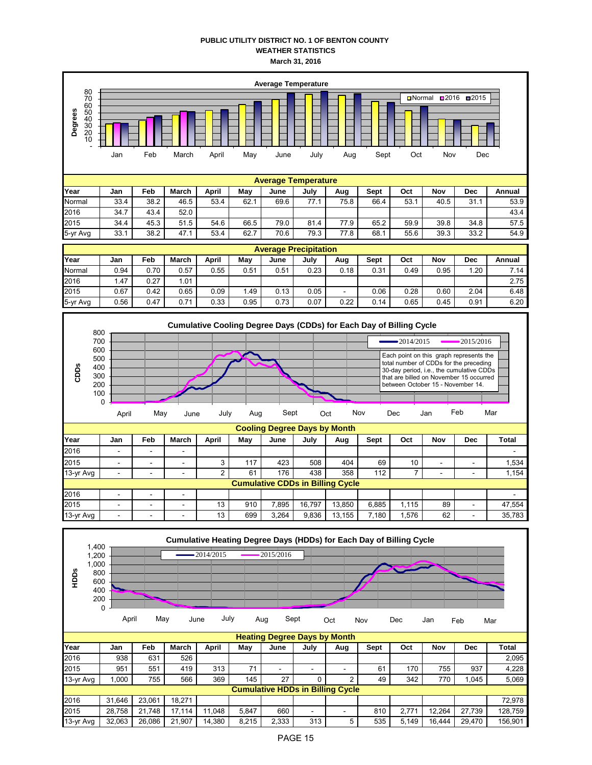### **PUBLIC UTILITY DISTRICT NO. 1 OF BENTON COUNTY WEATHER STATISTICS March 31, 2016**





2015 - - - 13 910 7,895 16,797 13,850 6,885 1,115 89 - 47,554

| 13-yr Avg |                                                     |            |        |        | 13           | 699   | 3,264                                   | 9,836 | 13,155         | 7,180                                                               | 1,576 | 62     |            | 35,783  |
|-----------|-----------------------------------------------------|------------|--------|--------|--------------|-------|-----------------------------------------|-------|----------------|---------------------------------------------------------------------|-------|--------|------------|---------|
| HDDS      | 1,400<br>1,200<br>1,000<br>800<br>600<br>400<br>200 |            |        |        | $-2014/2015$ |       | 2015/2016                               |       |                | Cumulative Heating Degree Days (HDDs) for Each Day of Billing Cycle |       |        |            |         |
|           |                                                     | 0<br>April | May    |        | July<br>June |       | Sept<br>Aug                             |       | Oct            | Nov                                                                 | Dec   | Jan    | Feb        | Mar     |
|           |                                                     |            |        |        |              |       | <b>Heating Degree Days by Month</b>     |       |                |                                                                     |       |        |            |         |
| Year      |                                                     | Jan        | Feb    | March  | April        | May   | June                                    | July  | Aug            | Sept                                                                | Oct   | Nov    | <b>Dec</b> | Total   |
| 2016      |                                                     | 938        | 631    | 526    |              |       |                                         |       |                |                                                                     |       |        |            | 2,095   |
| 2015      |                                                     | 951        | 551    | 419    | 313          | 71    | $\overline{\phantom{a}}$                | ٠     | ۰              | 61                                                                  | 170   | 755    | 937        | 4,228   |
| 13-yr Avg |                                                     | 1,000      | 755    | 566    | 369          | 145   | 27                                      | 0     | $\overline{2}$ | 49                                                                  | 342   | 770    | 1,045      | 5,069   |
|           |                                                     |            |        |        |              |       | <b>Cumulative HDDs in Billing Cycle</b> |       |                |                                                                     |       |        |            |         |
| 2016      |                                                     | 31,646     | 23,061 | 18,271 |              |       |                                         |       |                |                                                                     |       |        |            | 72,978  |
| 2015      |                                                     | 28,758     | 21,748 | 17,114 | 11,048       | 5,847 | 660                                     | ٠     |                | 810                                                                 | 2,771 | 12,264 | 27,739     | 128,759 |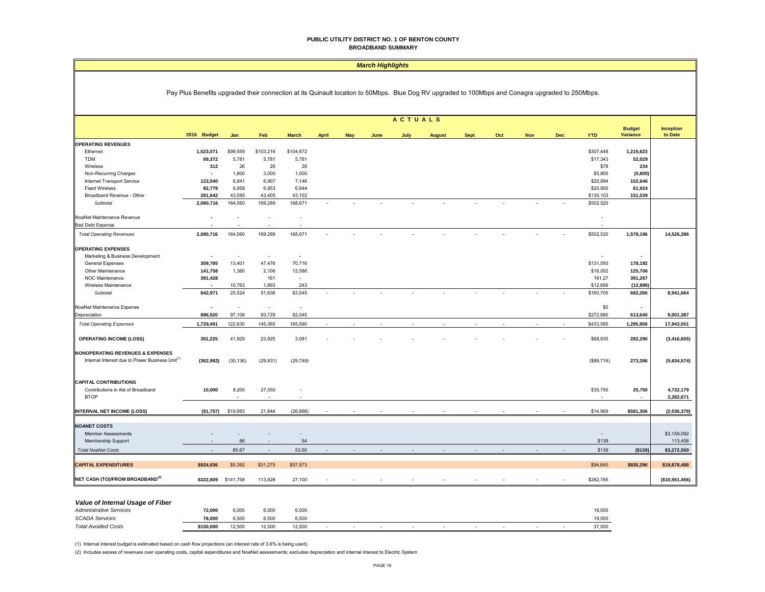#### **PUBLIC UTILITY DISTRICT NO. 1 OF BENTON COUNTY BROADBAND SUMMARY**

#### *March Highlights*

### Pay Plus Benefits upgraded their connection at its Quinault location to 50Mbps. Blue Dog RV upgraded to 100Mbps and Conagra upgraded to 250Mbps.

| <b>ACTUALS</b><br><b>Budget</b><br><b>Inception</b><br>2016 Budget<br><b>YTD</b><br>Jan<br>Feb<br><b>March</b><br><b>April</b><br>May<br>July<br><b>Sept</b><br>Oct<br><b>Nov</b><br><b>Dec</b><br><b>Variance</b><br>to Date<br>June<br><b>August</b><br><b>OPERATING REVENUES</b><br>1,523,071<br>\$99,559<br>\$103,216<br>\$104,672<br>\$307,448<br>1,215,623<br>Ethernet<br>69,372<br>5,781<br>5,781<br>5,781<br>\$17,343<br>52,029<br><b>TDM</b><br>26<br>26<br>\$78<br>312<br>26<br>234<br>Wireless<br>1,800<br>Non-Recurring Charges<br>3,000<br>1,000<br>\$5,800<br>(5,800)<br>$\blacksquare$<br>Internet Transport Service<br>123,540<br>6,841<br>6,907<br>7,146<br>\$20,894<br>102,646<br>6,944<br>\$20,855<br><b>Fixed Wireless</b><br>82,779<br>6,958<br>6,953<br>61,924<br>43,595<br>\$130,103<br>281,642<br>43,405<br>43,102<br>151,539<br>Broadband Revenue - Other<br>164,560<br>169,289<br>168,671<br>\$502,520<br>2,080,716<br>Subtotal<br>NoaNet Maintenance Revenue<br>$\overline{\phantom{a}}$<br><b>Bad Debt Expense</b><br>164,560<br>168,671<br>2,080,716<br>169,289<br>\$502,520<br>1,578,196<br><b>Total Operating Revenues</b><br><b>OPERATING EXPENSES</b><br>Marketing & Business Development<br>$\overline{\phantom{a}}$<br>÷,<br>$\sim$<br>$\overline{\phantom{a}}$<br>$\sim$<br>$\blacksquare$<br>13,401<br>47,476<br>70,716<br>\$131,593<br>309,785<br>178,192<br><b>General Expenses</b><br>141,758<br>1,360<br>2,106<br>12,586<br>\$16,052<br>125,706<br>Other Maintenance<br>391,428<br>161<br>$\sim$<br>161.27<br>391,267<br>NOC Maintenance<br>10,763<br>1,893<br>243<br>\$12,899<br>(12, 899)<br>Wireless Maintenance<br>$\overline{\phantom{a}}$<br>842,971<br>25,524<br>51,636<br>83,545<br>\$160,705<br>Subtotal<br>682,266<br>$\sim$<br>NoaNet Maintenance Expense<br>\$0<br>$\blacksquare$<br>$\sim$<br>$\sim$<br>$\sim$<br>$\sim$<br>\$272,880<br>886,520<br>97,106<br>93,729<br>82,045<br>Depreciation<br>613,640<br>9,001,387<br>1,729,491<br>122,630<br>145,365<br>165,590<br>\$433,585<br>1,295,906<br>17,943,051<br><b>Total Operating Expenses</b><br><b>OPERATING INCOME (LOSS)</b><br>351,225<br>41,929<br>23,925<br>3,081<br>\$68,935<br>282,290<br><b>NONOPERATING REVENUES &amp; EXPENSES</b><br>Internal Interest due to Power Business Unit <sup>(1)</sup><br>(362, 982)<br>(30, 136)<br>(29, 831)<br>(29, 749)<br>(\$89,716)<br>273,266<br><b>CAPITAL CONTRIBUTIONS</b><br>Contributions in Aid of Broadband<br>10,000<br>8,200<br>27,550<br>\$35,750<br>25,750<br>4,732,179<br><b>BTOP</b><br>2,282,671<br>$\sim$<br>$\sim$<br><b>INTERNAL NET INCOME (LOSS)</b><br>(\$1,757)<br>\$19,993<br>21,644<br>(26, 668)<br>\$14,969<br>\$581,306<br>\$3,159,092<br><b>Member Assessments</b><br>$\overline{\phantom{a}}$<br>Membership Support<br>86<br>54<br>\$139<br>113,458<br>٠<br>53.50<br><b>Total NoaNet Costs</b><br>85.67<br>\$139<br>( \$139)<br>$\sim$<br>٠<br>\$924,936<br>\$5,392<br>\$31,275<br>\$57,973<br>\$94,640<br>\$830,296<br>\$19,878,488 |                                             |           |           |         |        |  |  |  |  |  |  |  |           |  |                |
|----------------------------------------------------------------------------------------------------------------------------------------------------------------------------------------------------------------------------------------------------------------------------------------------------------------------------------------------------------------------------------------------------------------------------------------------------------------------------------------------------------------------------------------------------------------------------------------------------------------------------------------------------------------------------------------------------------------------------------------------------------------------------------------------------------------------------------------------------------------------------------------------------------------------------------------------------------------------------------------------------------------------------------------------------------------------------------------------------------------------------------------------------------------------------------------------------------------------------------------------------------------------------------------------------------------------------------------------------------------------------------------------------------------------------------------------------------------------------------------------------------------------------------------------------------------------------------------------------------------------------------------------------------------------------------------------------------------------------------------------------------------------------------------------------------------------------------------------------------------------------------------------------------------------------------------------------------------------------------------------------------------------------------------------------------------------------------------------------------------------------------------------------------------------------------------------------------------------------------------------------------------------------------------------------------------------------------------------------------------------------------------------------------------------------------------------------------------------------------------------------------------------------------------------------------------------------------------------------------------------------------------------------------------------------------------------------------------------------------------------------------------------------------------------------------------------------------------------------------------------------------------------------------------------------------------------------------------------------------------------------------------------|---------------------------------------------|-----------|-----------|---------|--------|--|--|--|--|--|--|--|-----------|--|----------------|
| <b>NOANET COSTS</b><br><b>CAPITAL EXPENDITURES</b>                                                                                                                                                                                                                                                                                                                                                                                                                                                                                                                                                                                                                                                                                                                                                                                                                                                                                                                                                                                                                                                                                                                                                                                                                                                                                                                                                                                                                                                                                                                                                                                                                                                                                                                                                                                                                                                                                                                                                                                                                                                                                                                                                                                                                                                                                                                                                                                                                                                                                                                                                                                                                                                                                                                                                                                                                                                                                                                                                                   |                                             |           |           |         |        |  |  |  |  |  |  |  |           |  |                |
|                                                                                                                                                                                                                                                                                                                                                                                                                                                                                                                                                                                                                                                                                                                                                                                                                                                                                                                                                                                                                                                                                                                                                                                                                                                                                                                                                                                                                                                                                                                                                                                                                                                                                                                                                                                                                                                                                                                                                                                                                                                                                                                                                                                                                                                                                                                                                                                                                                                                                                                                                                                                                                                                                                                                                                                                                                                                                                                                                                                                                      |                                             |           |           |         |        |  |  |  |  |  |  |  |           |  |                |
|                                                                                                                                                                                                                                                                                                                                                                                                                                                                                                                                                                                                                                                                                                                                                                                                                                                                                                                                                                                                                                                                                                                                                                                                                                                                                                                                                                                                                                                                                                                                                                                                                                                                                                                                                                                                                                                                                                                                                                                                                                                                                                                                                                                                                                                                                                                                                                                                                                                                                                                                                                                                                                                                                                                                                                                                                                                                                                                                                                                                                      |                                             |           |           |         |        |  |  |  |  |  |  |  |           |  |                |
|                                                                                                                                                                                                                                                                                                                                                                                                                                                                                                                                                                                                                                                                                                                                                                                                                                                                                                                                                                                                                                                                                                                                                                                                                                                                                                                                                                                                                                                                                                                                                                                                                                                                                                                                                                                                                                                                                                                                                                                                                                                                                                                                                                                                                                                                                                                                                                                                                                                                                                                                                                                                                                                                                                                                                                                                                                                                                                                                                                                                                      |                                             |           |           |         |        |  |  |  |  |  |  |  |           |  |                |
|                                                                                                                                                                                                                                                                                                                                                                                                                                                                                                                                                                                                                                                                                                                                                                                                                                                                                                                                                                                                                                                                                                                                                                                                                                                                                                                                                                                                                                                                                                                                                                                                                                                                                                                                                                                                                                                                                                                                                                                                                                                                                                                                                                                                                                                                                                                                                                                                                                                                                                                                                                                                                                                                                                                                                                                                                                                                                                                                                                                                                      |                                             |           |           |         |        |  |  |  |  |  |  |  |           |  |                |
|                                                                                                                                                                                                                                                                                                                                                                                                                                                                                                                                                                                                                                                                                                                                                                                                                                                                                                                                                                                                                                                                                                                                                                                                                                                                                                                                                                                                                                                                                                                                                                                                                                                                                                                                                                                                                                                                                                                                                                                                                                                                                                                                                                                                                                                                                                                                                                                                                                                                                                                                                                                                                                                                                                                                                                                                                                                                                                                                                                                                                      |                                             |           |           |         |        |  |  |  |  |  |  |  |           |  |                |
|                                                                                                                                                                                                                                                                                                                                                                                                                                                                                                                                                                                                                                                                                                                                                                                                                                                                                                                                                                                                                                                                                                                                                                                                                                                                                                                                                                                                                                                                                                                                                                                                                                                                                                                                                                                                                                                                                                                                                                                                                                                                                                                                                                                                                                                                                                                                                                                                                                                                                                                                                                                                                                                                                                                                                                                                                                                                                                                                                                                                                      |                                             |           |           |         |        |  |  |  |  |  |  |  |           |  |                |
|                                                                                                                                                                                                                                                                                                                                                                                                                                                                                                                                                                                                                                                                                                                                                                                                                                                                                                                                                                                                                                                                                                                                                                                                                                                                                                                                                                                                                                                                                                                                                                                                                                                                                                                                                                                                                                                                                                                                                                                                                                                                                                                                                                                                                                                                                                                                                                                                                                                                                                                                                                                                                                                                                                                                                                                                                                                                                                                                                                                                                      |                                             |           |           |         |        |  |  |  |  |  |  |  |           |  |                |
|                                                                                                                                                                                                                                                                                                                                                                                                                                                                                                                                                                                                                                                                                                                                                                                                                                                                                                                                                                                                                                                                                                                                                                                                                                                                                                                                                                                                                                                                                                                                                                                                                                                                                                                                                                                                                                                                                                                                                                                                                                                                                                                                                                                                                                                                                                                                                                                                                                                                                                                                                                                                                                                                                                                                                                                                                                                                                                                                                                                                                      |                                             |           |           |         |        |  |  |  |  |  |  |  |           |  |                |
|                                                                                                                                                                                                                                                                                                                                                                                                                                                                                                                                                                                                                                                                                                                                                                                                                                                                                                                                                                                                                                                                                                                                                                                                                                                                                                                                                                                                                                                                                                                                                                                                                                                                                                                                                                                                                                                                                                                                                                                                                                                                                                                                                                                                                                                                                                                                                                                                                                                                                                                                                                                                                                                                                                                                                                                                                                                                                                                                                                                                                      |                                             |           |           |         |        |  |  |  |  |  |  |  |           |  |                |
|                                                                                                                                                                                                                                                                                                                                                                                                                                                                                                                                                                                                                                                                                                                                                                                                                                                                                                                                                                                                                                                                                                                                                                                                                                                                                                                                                                                                                                                                                                                                                                                                                                                                                                                                                                                                                                                                                                                                                                                                                                                                                                                                                                                                                                                                                                                                                                                                                                                                                                                                                                                                                                                                                                                                                                                                                                                                                                                                                                                                                      |                                             |           |           |         |        |  |  |  |  |  |  |  |           |  |                |
|                                                                                                                                                                                                                                                                                                                                                                                                                                                                                                                                                                                                                                                                                                                                                                                                                                                                                                                                                                                                                                                                                                                                                                                                                                                                                                                                                                                                                                                                                                                                                                                                                                                                                                                                                                                                                                                                                                                                                                                                                                                                                                                                                                                                                                                                                                                                                                                                                                                                                                                                                                                                                                                                                                                                                                                                                                                                                                                                                                                                                      |                                             |           |           |         |        |  |  |  |  |  |  |  |           |  |                |
|                                                                                                                                                                                                                                                                                                                                                                                                                                                                                                                                                                                                                                                                                                                                                                                                                                                                                                                                                                                                                                                                                                                                                                                                                                                                                                                                                                                                                                                                                                                                                                                                                                                                                                                                                                                                                                                                                                                                                                                                                                                                                                                                                                                                                                                                                                                                                                                                                                                                                                                                                                                                                                                                                                                                                                                                                                                                                                                                                                                                                      |                                             |           |           |         |        |  |  |  |  |  |  |  |           |  | 14,526,396     |
|                                                                                                                                                                                                                                                                                                                                                                                                                                                                                                                                                                                                                                                                                                                                                                                                                                                                                                                                                                                                                                                                                                                                                                                                                                                                                                                                                                                                                                                                                                                                                                                                                                                                                                                                                                                                                                                                                                                                                                                                                                                                                                                                                                                                                                                                                                                                                                                                                                                                                                                                                                                                                                                                                                                                                                                                                                                                                                                                                                                                                      |                                             |           |           |         |        |  |  |  |  |  |  |  |           |  |                |
|                                                                                                                                                                                                                                                                                                                                                                                                                                                                                                                                                                                                                                                                                                                                                                                                                                                                                                                                                                                                                                                                                                                                                                                                                                                                                                                                                                                                                                                                                                                                                                                                                                                                                                                                                                                                                                                                                                                                                                                                                                                                                                                                                                                                                                                                                                                                                                                                                                                                                                                                                                                                                                                                                                                                                                                                                                                                                                                                                                                                                      |                                             |           |           |         |        |  |  |  |  |  |  |  |           |  |                |
|                                                                                                                                                                                                                                                                                                                                                                                                                                                                                                                                                                                                                                                                                                                                                                                                                                                                                                                                                                                                                                                                                                                                                                                                                                                                                                                                                                                                                                                                                                                                                                                                                                                                                                                                                                                                                                                                                                                                                                                                                                                                                                                                                                                                                                                                                                                                                                                                                                                                                                                                                                                                                                                                                                                                                                                                                                                                                                                                                                                                                      |                                             |           |           |         |        |  |  |  |  |  |  |  |           |  |                |
|                                                                                                                                                                                                                                                                                                                                                                                                                                                                                                                                                                                                                                                                                                                                                                                                                                                                                                                                                                                                                                                                                                                                                                                                                                                                                                                                                                                                                                                                                                                                                                                                                                                                                                                                                                                                                                                                                                                                                                                                                                                                                                                                                                                                                                                                                                                                                                                                                                                                                                                                                                                                                                                                                                                                                                                                                                                                                                                                                                                                                      |                                             |           |           |         |        |  |  |  |  |  |  |  |           |  |                |
|                                                                                                                                                                                                                                                                                                                                                                                                                                                                                                                                                                                                                                                                                                                                                                                                                                                                                                                                                                                                                                                                                                                                                                                                                                                                                                                                                                                                                                                                                                                                                                                                                                                                                                                                                                                                                                                                                                                                                                                                                                                                                                                                                                                                                                                                                                                                                                                                                                                                                                                                                                                                                                                                                                                                                                                                                                                                                                                                                                                                                      |                                             |           |           |         |        |  |  |  |  |  |  |  |           |  |                |
|                                                                                                                                                                                                                                                                                                                                                                                                                                                                                                                                                                                                                                                                                                                                                                                                                                                                                                                                                                                                                                                                                                                                                                                                                                                                                                                                                                                                                                                                                                                                                                                                                                                                                                                                                                                                                                                                                                                                                                                                                                                                                                                                                                                                                                                                                                                                                                                                                                                                                                                                                                                                                                                                                                                                                                                                                                                                                                                                                                                                                      |                                             |           |           |         |        |  |  |  |  |  |  |  |           |  |                |
|                                                                                                                                                                                                                                                                                                                                                                                                                                                                                                                                                                                                                                                                                                                                                                                                                                                                                                                                                                                                                                                                                                                                                                                                                                                                                                                                                                                                                                                                                                                                                                                                                                                                                                                                                                                                                                                                                                                                                                                                                                                                                                                                                                                                                                                                                                                                                                                                                                                                                                                                                                                                                                                                                                                                                                                                                                                                                                                                                                                                                      |                                             |           |           |         |        |  |  |  |  |  |  |  |           |  | 8,941,664      |
|                                                                                                                                                                                                                                                                                                                                                                                                                                                                                                                                                                                                                                                                                                                                                                                                                                                                                                                                                                                                                                                                                                                                                                                                                                                                                                                                                                                                                                                                                                                                                                                                                                                                                                                                                                                                                                                                                                                                                                                                                                                                                                                                                                                                                                                                                                                                                                                                                                                                                                                                                                                                                                                                                                                                                                                                                                                                                                                                                                                                                      |                                             |           |           |         |        |  |  |  |  |  |  |  |           |  |                |
|                                                                                                                                                                                                                                                                                                                                                                                                                                                                                                                                                                                                                                                                                                                                                                                                                                                                                                                                                                                                                                                                                                                                                                                                                                                                                                                                                                                                                                                                                                                                                                                                                                                                                                                                                                                                                                                                                                                                                                                                                                                                                                                                                                                                                                                                                                                                                                                                                                                                                                                                                                                                                                                                                                                                                                                                                                                                                                                                                                                                                      |                                             |           |           |         |        |  |  |  |  |  |  |  |           |  |                |
|                                                                                                                                                                                                                                                                                                                                                                                                                                                                                                                                                                                                                                                                                                                                                                                                                                                                                                                                                                                                                                                                                                                                                                                                                                                                                                                                                                                                                                                                                                                                                                                                                                                                                                                                                                                                                                                                                                                                                                                                                                                                                                                                                                                                                                                                                                                                                                                                                                                                                                                                                                                                                                                                                                                                                                                                                                                                                                                                                                                                                      |                                             |           |           |         |        |  |  |  |  |  |  |  |           |  |                |
|                                                                                                                                                                                                                                                                                                                                                                                                                                                                                                                                                                                                                                                                                                                                                                                                                                                                                                                                                                                                                                                                                                                                                                                                                                                                                                                                                                                                                                                                                                                                                                                                                                                                                                                                                                                                                                                                                                                                                                                                                                                                                                                                                                                                                                                                                                                                                                                                                                                                                                                                                                                                                                                                                                                                                                                                                                                                                                                                                                                                                      |                                             |           |           |         |        |  |  |  |  |  |  |  |           |  | (3, 416, 655)  |
|                                                                                                                                                                                                                                                                                                                                                                                                                                                                                                                                                                                                                                                                                                                                                                                                                                                                                                                                                                                                                                                                                                                                                                                                                                                                                                                                                                                                                                                                                                                                                                                                                                                                                                                                                                                                                                                                                                                                                                                                                                                                                                                                                                                                                                                                                                                                                                                                                                                                                                                                                                                                                                                                                                                                                                                                                                                                                                                                                                                                                      |                                             |           |           |         |        |  |  |  |  |  |  |  |           |  | (5,634,574)    |
|                                                                                                                                                                                                                                                                                                                                                                                                                                                                                                                                                                                                                                                                                                                                                                                                                                                                                                                                                                                                                                                                                                                                                                                                                                                                                                                                                                                                                                                                                                                                                                                                                                                                                                                                                                                                                                                                                                                                                                                                                                                                                                                                                                                                                                                                                                                                                                                                                                                                                                                                                                                                                                                                                                                                                                                                                                                                                                                                                                                                                      |                                             |           |           |         |        |  |  |  |  |  |  |  |           |  |                |
|                                                                                                                                                                                                                                                                                                                                                                                                                                                                                                                                                                                                                                                                                                                                                                                                                                                                                                                                                                                                                                                                                                                                                                                                                                                                                                                                                                                                                                                                                                                                                                                                                                                                                                                                                                                                                                                                                                                                                                                                                                                                                                                                                                                                                                                                                                                                                                                                                                                                                                                                                                                                                                                                                                                                                                                                                                                                                                                                                                                                                      |                                             |           |           |         |        |  |  |  |  |  |  |  |           |  |                |
|                                                                                                                                                                                                                                                                                                                                                                                                                                                                                                                                                                                                                                                                                                                                                                                                                                                                                                                                                                                                                                                                                                                                                                                                                                                                                                                                                                                                                                                                                                                                                                                                                                                                                                                                                                                                                                                                                                                                                                                                                                                                                                                                                                                                                                                                                                                                                                                                                                                                                                                                                                                                                                                                                                                                                                                                                                                                                                                                                                                                                      |                                             |           |           |         |        |  |  |  |  |  |  |  |           |  |                |
|                                                                                                                                                                                                                                                                                                                                                                                                                                                                                                                                                                                                                                                                                                                                                                                                                                                                                                                                                                                                                                                                                                                                                                                                                                                                                                                                                                                                                                                                                                                                                                                                                                                                                                                                                                                                                                                                                                                                                                                                                                                                                                                                                                                                                                                                                                                                                                                                                                                                                                                                                                                                                                                                                                                                                                                                                                                                                                                                                                                                                      |                                             |           |           |         |        |  |  |  |  |  |  |  |           |  | (2,036,379)    |
|                                                                                                                                                                                                                                                                                                                                                                                                                                                                                                                                                                                                                                                                                                                                                                                                                                                                                                                                                                                                                                                                                                                                                                                                                                                                                                                                                                                                                                                                                                                                                                                                                                                                                                                                                                                                                                                                                                                                                                                                                                                                                                                                                                                                                                                                                                                                                                                                                                                                                                                                                                                                                                                                                                                                                                                                                                                                                                                                                                                                                      |                                             |           |           |         |        |  |  |  |  |  |  |  |           |  |                |
|                                                                                                                                                                                                                                                                                                                                                                                                                                                                                                                                                                                                                                                                                                                                                                                                                                                                                                                                                                                                                                                                                                                                                                                                                                                                                                                                                                                                                                                                                                                                                                                                                                                                                                                                                                                                                                                                                                                                                                                                                                                                                                                                                                                                                                                                                                                                                                                                                                                                                                                                                                                                                                                                                                                                                                                                                                                                                                                                                                                                                      |                                             |           |           |         |        |  |  |  |  |  |  |  |           |  |                |
|                                                                                                                                                                                                                                                                                                                                                                                                                                                                                                                                                                                                                                                                                                                                                                                                                                                                                                                                                                                                                                                                                                                                                                                                                                                                                                                                                                                                                                                                                                                                                                                                                                                                                                                                                                                                                                                                                                                                                                                                                                                                                                                                                                                                                                                                                                                                                                                                                                                                                                                                                                                                                                                                                                                                                                                                                                                                                                                                                                                                                      |                                             |           |           |         |        |  |  |  |  |  |  |  |           |  |                |
|                                                                                                                                                                                                                                                                                                                                                                                                                                                                                                                                                                                                                                                                                                                                                                                                                                                                                                                                                                                                                                                                                                                                                                                                                                                                                                                                                                                                                                                                                                                                                                                                                                                                                                                                                                                                                                                                                                                                                                                                                                                                                                                                                                                                                                                                                                                                                                                                                                                                                                                                                                                                                                                                                                                                                                                                                                                                                                                                                                                                                      |                                             |           |           |         |        |  |  |  |  |  |  |  |           |  |                |
|                                                                                                                                                                                                                                                                                                                                                                                                                                                                                                                                                                                                                                                                                                                                                                                                                                                                                                                                                                                                                                                                                                                                                                                                                                                                                                                                                                                                                                                                                                                                                                                                                                                                                                                                                                                                                                                                                                                                                                                                                                                                                                                                                                                                                                                                                                                                                                                                                                                                                                                                                                                                                                                                                                                                                                                                                                                                                                                                                                                                                      |                                             |           |           |         |        |  |  |  |  |  |  |  |           |  | \$3,272,550    |
|                                                                                                                                                                                                                                                                                                                                                                                                                                                                                                                                                                                                                                                                                                                                                                                                                                                                                                                                                                                                                                                                                                                                                                                                                                                                                                                                                                                                                                                                                                                                                                                                                                                                                                                                                                                                                                                                                                                                                                                                                                                                                                                                                                                                                                                                                                                                                                                                                                                                                                                                                                                                                                                                                                                                                                                                                                                                                                                                                                                                                      |                                             |           |           |         |        |  |  |  |  |  |  |  |           |  |                |
|                                                                                                                                                                                                                                                                                                                                                                                                                                                                                                                                                                                                                                                                                                                                                                                                                                                                                                                                                                                                                                                                                                                                                                                                                                                                                                                                                                                                                                                                                                                                                                                                                                                                                                                                                                                                                                                                                                                                                                                                                                                                                                                                                                                                                                                                                                                                                                                                                                                                                                                                                                                                                                                                                                                                                                                                                                                                                                                                                                                                                      | NET CASH (TO)/FROM BROADBAND <sup>(2)</sup> | \$322,809 | \$141,758 | 113,928 | 27,100 |  |  |  |  |  |  |  | \$282,785 |  | (\$10,551,456) |

#### *Value of Internal Usage of Fiber*

| <b>Administrative Services</b> | 72.000    | 6.000  | 6.000  | 6,000  |  |  |  |   |                          | 18,000 |
|--------------------------------|-----------|--------|--------|--------|--|--|--|---|--------------------------|--------|
| <b>SCADA Services</b>          | 78.000    | 6.500  | 6.500  | 6.500  |  |  |  |   |                          | 19.500 |
| <b>Total Avoided Costs</b>     | \$150.000 | 12.500 | 12.500 | 12,500 |  |  |  | - | $\overline{\phantom{a}}$ | 37,500 |

(1) Internal interest budget is estimated based on cash flow projections (an interest rate of 3.6% is being used).

(2) Includes excess of revenues over operating costs, capital expenditures and NoaNet assessments; excludes depreciation and internal interest to Electric System